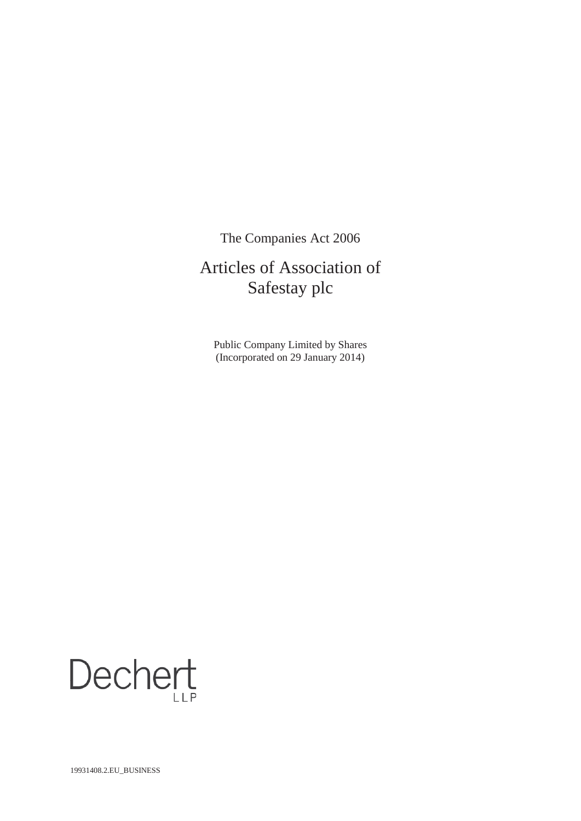The Companies Act 2006

# Articles of Association of Safestay plc

Public Company Limited by Shares (Incorporated on 29 January 2014)

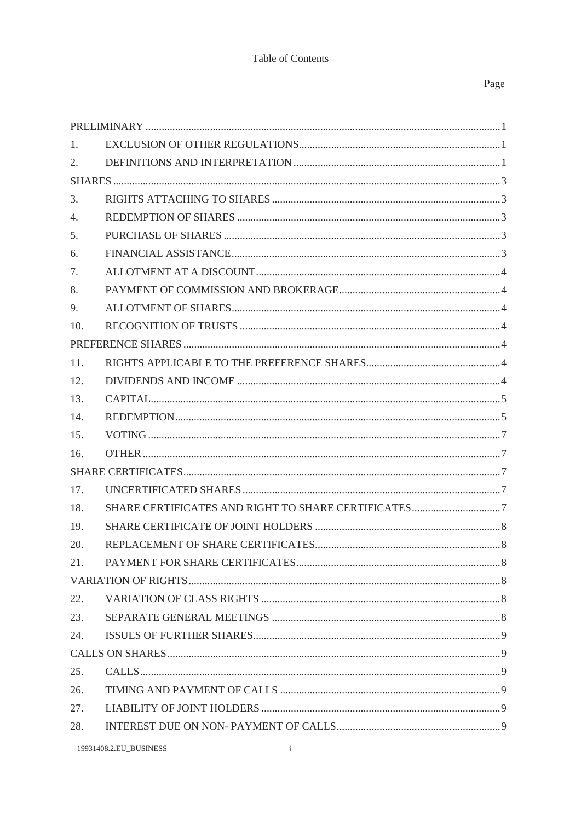# Table of Contents

# Page

| 1.  |  |
|-----|--|
| 2.  |  |
|     |  |
| 3.  |  |
| 4.  |  |
| 5.  |  |
| 6.  |  |
| 7.  |  |
| 8.  |  |
| 9.  |  |
| 10. |  |
|     |  |
| 11. |  |
| 12. |  |
| 13. |  |
| 14. |  |
| 15. |  |
| 16. |  |
|     |  |
| 17. |  |
| 18. |  |
| 19. |  |
| 20. |  |
| 21. |  |
|     |  |
| 22. |  |
| 23. |  |
| 24. |  |
|     |  |
| 25. |  |
| 26. |  |
| 27. |  |
| 28. |  |
|     |  |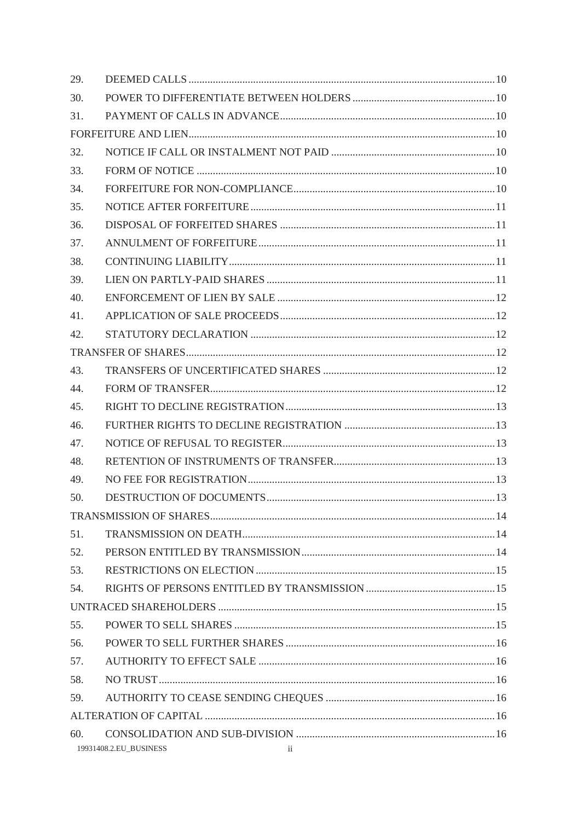| 29. |                                                   |  |
|-----|---------------------------------------------------|--|
| 30. |                                                   |  |
| 31. |                                                   |  |
|     |                                                   |  |
| 32. |                                                   |  |
| 33. |                                                   |  |
| 34. |                                                   |  |
| 35. |                                                   |  |
| 36. |                                                   |  |
| 37. |                                                   |  |
| 38. |                                                   |  |
| 39. |                                                   |  |
| 40. |                                                   |  |
| 41. |                                                   |  |
| 42. |                                                   |  |
|     |                                                   |  |
| 43. |                                                   |  |
| 44. |                                                   |  |
| 45. |                                                   |  |
| 46. |                                                   |  |
| 47. |                                                   |  |
| 48. |                                                   |  |
| 49. |                                                   |  |
| 50. |                                                   |  |
|     |                                                   |  |
| 51. |                                                   |  |
| 52. |                                                   |  |
| 53. |                                                   |  |
| 54. |                                                   |  |
|     |                                                   |  |
| 55. |                                                   |  |
| 56. |                                                   |  |
| 57. |                                                   |  |
| 58. |                                                   |  |
| 59. |                                                   |  |
|     |                                                   |  |
| 60. |                                                   |  |
|     | 19931408.2.EU_BUSINESS<br>$\overline{\mathbf{1}}$ |  |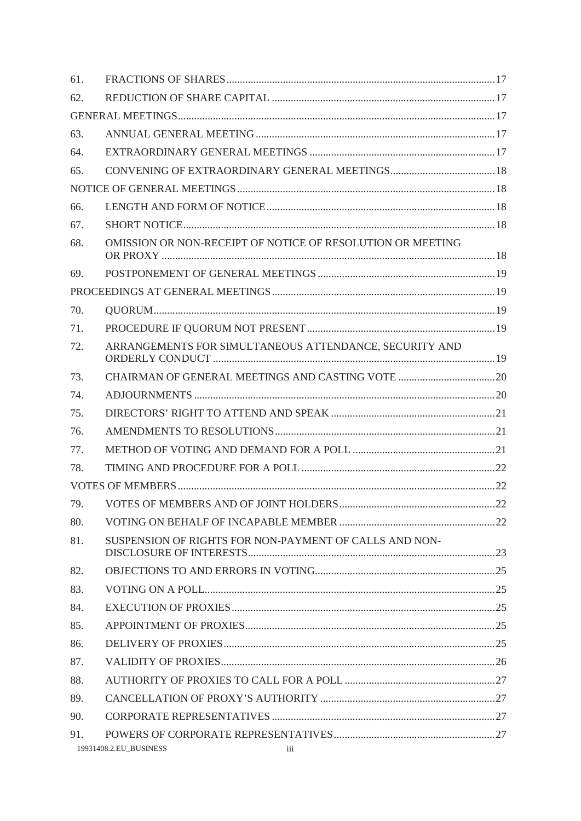| 61. |                                                            |  |
|-----|------------------------------------------------------------|--|
| 62. |                                                            |  |
|     |                                                            |  |
| 63. |                                                            |  |
| 64. |                                                            |  |
| 65. |                                                            |  |
|     |                                                            |  |
| 66. |                                                            |  |
| 67. |                                                            |  |
| 68. | OMISSION OR NON-RECEIPT OF NOTICE OF RESOLUTION OR MEETING |  |
| 69. |                                                            |  |
|     |                                                            |  |
| 70. |                                                            |  |
| 71. |                                                            |  |
| 72. | ARRANGEMENTS FOR SIMULTANEOUS ATTENDANCE, SECURITY AND     |  |
| 73. |                                                            |  |
| 74. |                                                            |  |
| 75. |                                                            |  |
| 76. |                                                            |  |
| 77. |                                                            |  |
| 78. |                                                            |  |
|     |                                                            |  |
| 79. |                                                            |  |
| 80. |                                                            |  |
| 81. | SUSPENSION OF RIGHTS FOR NON-PAYMENT OF CALLS AND NON-     |  |
| 82. |                                                            |  |
| 83. |                                                            |  |
| 84. |                                                            |  |
| 85. |                                                            |  |
| 86. |                                                            |  |
| 87. |                                                            |  |
| 88. |                                                            |  |
| 89. |                                                            |  |
| 90. |                                                            |  |
| 91. |                                                            |  |
|     | 19931408.2.EU BUSINESS<br>$\overline{\mathbf{u}}$ iii      |  |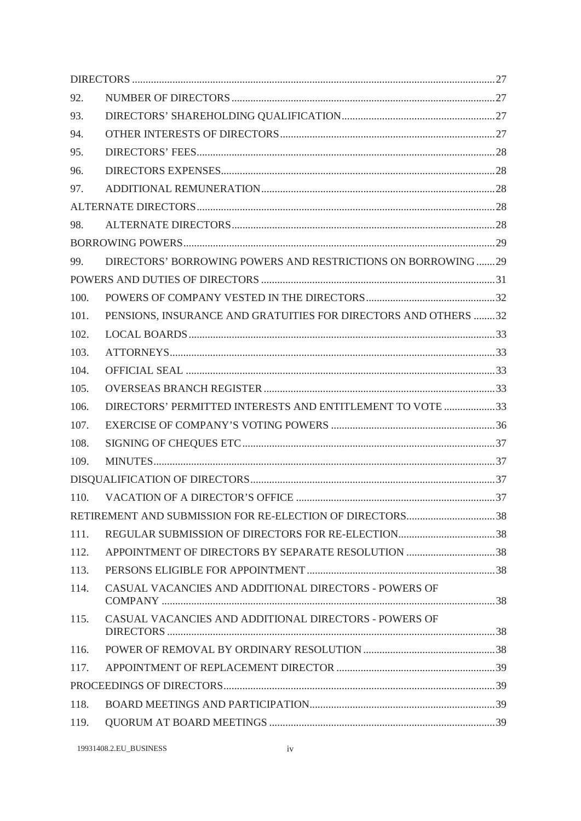| 92.  |                                                                |  |
|------|----------------------------------------------------------------|--|
| 93.  |                                                                |  |
| 94.  |                                                                |  |
| 95.  |                                                                |  |
| 96.  |                                                                |  |
| 97.  |                                                                |  |
|      |                                                                |  |
| 98.  |                                                                |  |
|      |                                                                |  |
| 99.  | DIRECTORS' BORROWING POWERS AND RESTRICTIONS ON BORROWING 29   |  |
|      |                                                                |  |
| 100. |                                                                |  |
| 101. | PENSIONS, INSURANCE AND GRATUITIES FOR DIRECTORS AND OTHERS 32 |  |
| 102. |                                                                |  |
| 103. |                                                                |  |
| 104. |                                                                |  |
| 105. |                                                                |  |
| 106. | DIRECTORS' PERMITTED INTERESTS AND ENTITLEMENT TO VOTE 33      |  |
| 107. |                                                                |  |
| 108. |                                                                |  |
| 109. |                                                                |  |
|      |                                                                |  |
| 110. |                                                                |  |
|      | RETIREMENT AND SUBMISSION FOR RE-ELECTION OF DIRECTORS38       |  |
| 111. |                                                                |  |
| 112. | APPOINTMENT OF DIRECTORS BY SEPARATE RESOLUTION 38             |  |
| 113. |                                                                |  |
| 114. | CASUAL VACANCIES AND ADDITIONAL DIRECTORS - POWERS OF          |  |
| 115. | CASUAL VACANCIES AND ADDITIONAL DIRECTORS - POWERS OF          |  |
| 116. |                                                                |  |
| 117. |                                                                |  |
|      |                                                                |  |
| 118. |                                                                |  |
| 119. |                                                                |  |
|      |                                                                |  |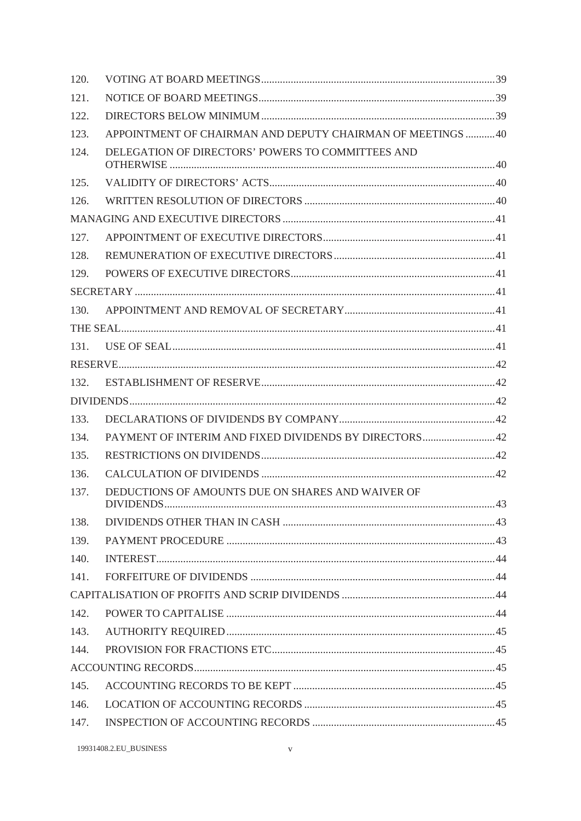| 120. |                                                            |  |
|------|------------------------------------------------------------|--|
| 121. |                                                            |  |
| 122. |                                                            |  |
| 123. | APPOINTMENT OF CHAIRMAN AND DEPUTY CHAIRMAN OF MEETINGS 40 |  |
| 124. | DELEGATION OF DIRECTORS' POWERS TO COMMITTEES AND          |  |
| 125. |                                                            |  |
| 126. |                                                            |  |
|      |                                                            |  |
| 127. |                                                            |  |
| 128. |                                                            |  |
| 129. |                                                            |  |
|      |                                                            |  |
| 130. |                                                            |  |
|      |                                                            |  |
| 131. |                                                            |  |
|      |                                                            |  |
| 132. |                                                            |  |
|      |                                                            |  |
| 133. |                                                            |  |
| 134. | PAYMENT OF INTERIM AND FIXED DIVIDENDS BY DIRECTORS42      |  |
| 135. |                                                            |  |
| 136. |                                                            |  |
| 137. | DEDUCTIONS OF AMOUNTS DUE ON SHARES AND WAIVER OF          |  |
| 138. |                                                            |  |
| 139. |                                                            |  |
| 140. |                                                            |  |
| 141. |                                                            |  |
|      |                                                            |  |
| 142. |                                                            |  |
| 143. |                                                            |  |
| 144. |                                                            |  |
|      |                                                            |  |
| 145. |                                                            |  |
| 146. |                                                            |  |
| 147. |                                                            |  |
|      |                                                            |  |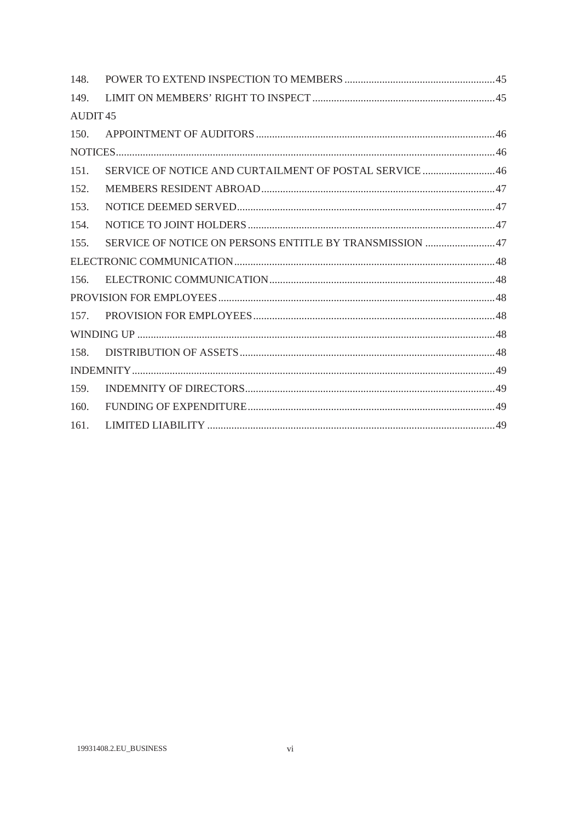| 148.            |                                                         |  |
|-----------------|---------------------------------------------------------|--|
| 149.            |                                                         |  |
| <b>AUDIT 45</b> |                                                         |  |
|                 |                                                         |  |
|                 |                                                         |  |
| 151.            | SERVICE OF NOTICE AND CURTAILMENT OF POSTAL SERVICE 46  |  |
| 152.            |                                                         |  |
| 153.            |                                                         |  |
| 154.            |                                                         |  |
| 155.            | SERVICE OF NOTICE ON PERSONS ENTITLE BY TRANSMISSION 47 |  |
|                 |                                                         |  |
| 156.            |                                                         |  |
|                 |                                                         |  |
|                 |                                                         |  |
|                 |                                                         |  |
| 158.            |                                                         |  |
|                 |                                                         |  |
| 159.            |                                                         |  |
| 160.            |                                                         |  |
| 161.            |                                                         |  |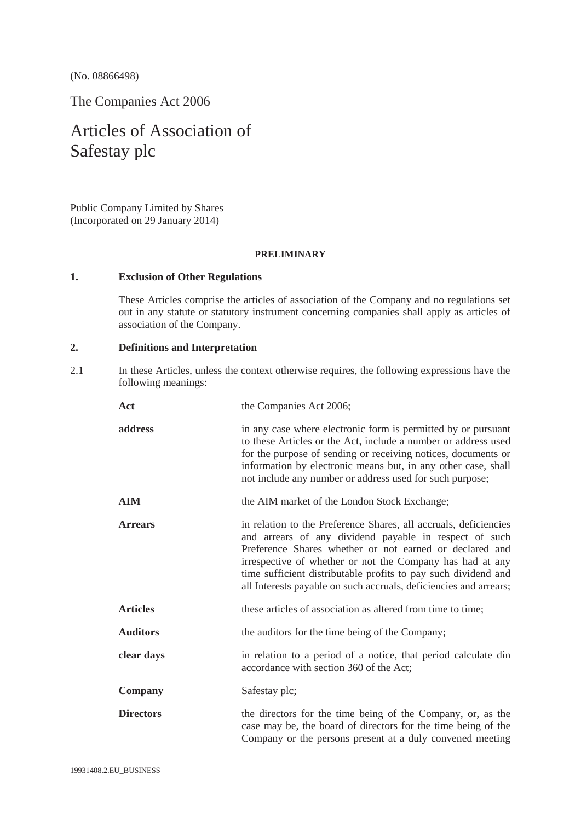(No. 08866498)

The Companies Act 2006

# Articles of Association of Safestay plc

Public Company Limited by Shares (Incorporated on 29 January 2014)

#### **PRELIMINARY**

# **1. Exclusion of Other Regulations**

These Articles comprise the articles of association of the Company and no regulations set out in any statute or statutory instrument concerning companies shall apply as articles of association of the Company.

# **2. Definitions and Interpretation**

2.1 In these Articles, unless the context otherwise requires, the following expressions have the following meanings:

| Act              | the Companies Act 2006;                                                                                                                                                                                                                                                                                                                                                                   |
|------------------|-------------------------------------------------------------------------------------------------------------------------------------------------------------------------------------------------------------------------------------------------------------------------------------------------------------------------------------------------------------------------------------------|
| address          | in any case where electronic form is permitted by or pursuant<br>to these Articles or the Act, include a number or address used<br>for the purpose of sending or receiving notices, documents or<br>information by electronic means but, in any other case, shall<br>not include any number or address used for such purpose;                                                             |
| AIM              | the AIM market of the London Stock Exchange;                                                                                                                                                                                                                                                                                                                                              |
| <b>Arrears</b>   | in relation to the Preference Shares, all accruals, deficiencies<br>and arrears of any dividend payable in respect of such<br>Preference Shares whether or not earned or declared and<br>irrespective of whether or not the Company has had at any<br>time sufficient distributable profits to pay such dividend and<br>all Interests payable on such accruals, deficiencies and arrears; |
| <b>Articles</b>  | these articles of association as altered from time to time;                                                                                                                                                                                                                                                                                                                               |
| Auditors         | the auditors for the time being of the Company;                                                                                                                                                                                                                                                                                                                                           |
| clear days       | in relation to a period of a notice, that period calculate din<br>accordance with section 360 of the Act;                                                                                                                                                                                                                                                                                 |
| <b>Company</b>   | Safestay plc;                                                                                                                                                                                                                                                                                                                                                                             |
| <b>Directors</b> | the directors for the time being of the Company, or, as the<br>case may be, the board of directors for the time being of the<br>Company or the persons present at a duly convened meeting                                                                                                                                                                                                 |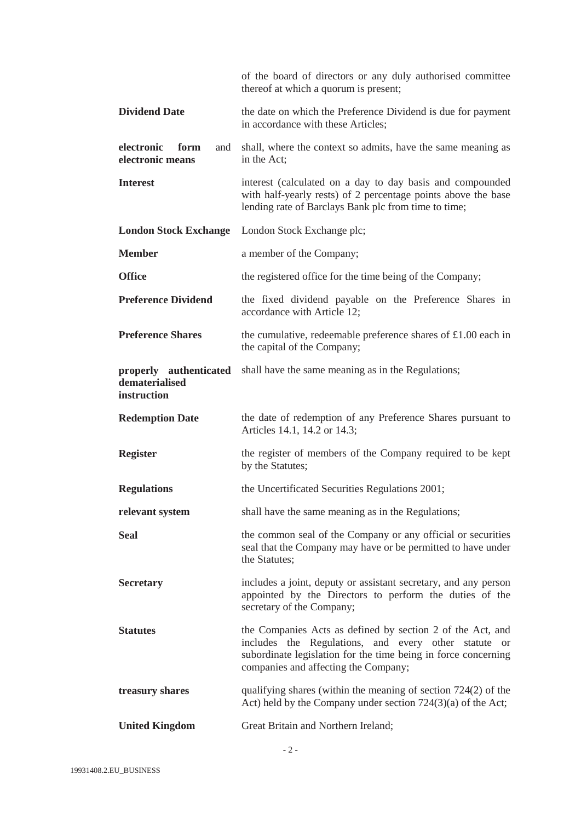|                                               | of the board of directors or any duly authorised committee<br>thereof at which a quorum is present;                                                                                                                          |
|-----------------------------------------------|------------------------------------------------------------------------------------------------------------------------------------------------------------------------------------------------------------------------------|
| <b>Dividend Date</b>                          | the date on which the Preference Dividend is due for payment<br>in accordance with these Articles;                                                                                                                           |
| electronic<br>form<br>and<br>electronic means | shall, where the context so admits, have the same meaning as<br>in the Act;                                                                                                                                                  |
| <b>Interest</b>                               | interest (calculated on a day to day basis and compounded<br>with half-yearly rests) of 2 percentage points above the base<br>lending rate of Barclays Bank plc from time to time;                                           |
| <b>London Stock Exchange</b>                  | London Stock Exchange plc;                                                                                                                                                                                                   |
| <b>Member</b>                                 | a member of the Company;                                                                                                                                                                                                     |
| <b>Office</b>                                 | the registered office for the time being of the Company;                                                                                                                                                                     |
| <b>Preference Dividend</b>                    | the fixed dividend payable on the Preference Shares in<br>accordance with Article 12;                                                                                                                                        |
| <b>Preference Shares</b>                      | the cumulative, redeemable preference shares of $£1.00$ each in<br>the capital of the Company;                                                                                                                               |
| dematerialised<br>instruction                 | <b>properly authenticated</b> shall have the same meaning as in the Regulations;                                                                                                                                             |
|                                               |                                                                                                                                                                                                                              |
| <b>Redemption Date</b>                        | the date of redemption of any Preference Shares pursuant to<br>Articles 14.1, 14.2 or 14.3;                                                                                                                                  |
| <b>Register</b>                               | the register of members of the Company required to be kept<br>by the Statutes;                                                                                                                                               |
| <b>Regulations</b>                            | the Uncertificated Securities Regulations 2001;                                                                                                                                                                              |
| relevant system                               | shall have the same meaning as in the Regulations;                                                                                                                                                                           |
| <b>Seal</b>                                   | the common seal of the Company or any official or securities<br>seal that the Company may have or be permitted to have under<br>the Statutes;                                                                                |
| <b>Secretary</b>                              | includes a joint, deputy or assistant secretary, and any person<br>appointed by the Directors to perform the duties of the<br>secretary of the Company;                                                                      |
| <b>Statutes</b>                               | the Companies Acts as defined by section 2 of the Act, and<br>includes the Regulations, and every other statute or<br>subordinate legislation for the time being in force concerning<br>companies and affecting the Company; |
| treasury shares                               | qualifying shares (within the meaning of section $724(2)$ of the<br>Act) held by the Company under section $724(3)(a)$ of the Act;                                                                                           |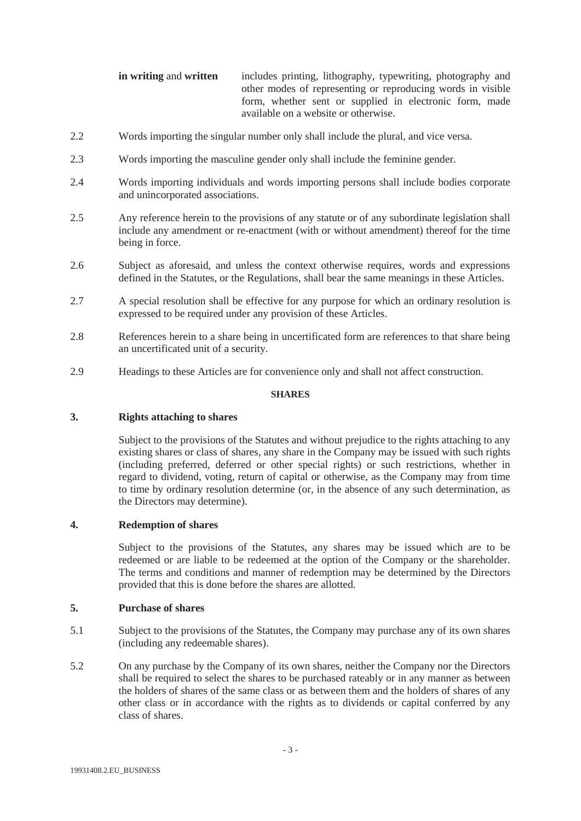| in writing and written | includes printing, lithography, typewriting, photography and |
|------------------------|--------------------------------------------------------------|
|                        | other modes of representing or reproducing words in visible  |
|                        | form, whether sent or supplied in electronic form, made      |
|                        | available on a website or otherwise.                         |

- 2.2 Words importing the singular number only shall include the plural, and vice versa.
- 2.3 Words importing the masculine gender only shall include the feminine gender.
- 2.4 Words importing individuals and words importing persons shall include bodies corporate and unincorporated associations.
- 2.5 Any reference herein to the provisions of any statute or of any subordinate legislation shall include any amendment or re-enactment (with or without amendment) thereof for the time being in force.
- 2.6 Subject as aforesaid, and unless the context otherwise requires, words and expressions defined in the Statutes, or the Regulations, shall bear the same meanings in these Articles.
- 2.7 A special resolution shall be effective for any purpose for which an ordinary resolution is expressed to be required under any provision of these Articles.
- 2.8 References herein to a share being in uncertificated form are references to that share being an uncertificated unit of a security.
- 2.9 Headings to these Articles are for convenience only and shall not affect construction.

## **SHARES**

# **3. Rights attaching to shares**

Subject to the provisions of the Statutes and without prejudice to the rights attaching to any existing shares or class of shares, any share in the Company may be issued with such rights (including preferred, deferred or other special rights) or such restrictions, whether in regard to dividend, voting, return of capital or otherwise, as the Company may from time to time by ordinary resolution determine (or, in the absence of any such determination, as the Directors may determine).

# **4. Redemption of shares**

Subject to the provisions of the Statutes, any shares may be issued which are to be redeemed or are liable to be redeemed at the option of the Company or the shareholder. The terms and conditions and manner of redemption may be determined by the Directors provided that this is done before the shares are allotted.

# **5. Purchase of shares**

- 5.1 Subject to the provisions of the Statutes, the Company may purchase any of its own shares (including any redeemable shares).
- 5.2 On any purchase by the Company of its own shares, neither the Company nor the Directors shall be required to select the shares to be purchased rateably or in any manner as between the holders of shares of the same class or as between them and the holders of shares of any other class or in accordance with the rights as to dividends or capital conferred by any class of shares.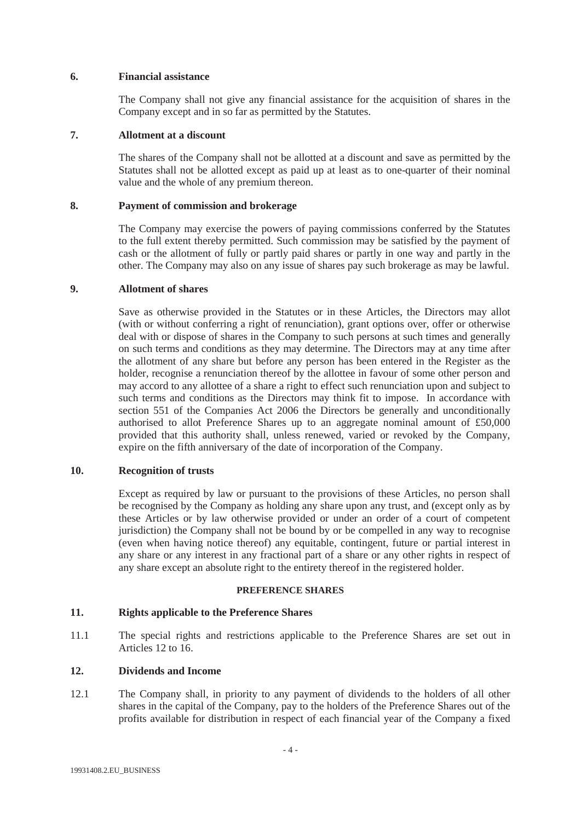## **6. Financial assistance**

The Company shall not give any financial assistance for the acquisition of shares in the Company except and in so far as permitted by the Statutes.

# **7. Allotment at a discount**

The shares of the Company shall not be allotted at a discount and save as permitted by the Statutes shall not be allotted except as paid up at least as to one-quarter of their nominal value and the whole of any premium thereon.

## **8. Payment of commission and brokerage**

The Company may exercise the powers of paying commissions conferred by the Statutes to the full extent thereby permitted. Such commission may be satisfied by the payment of cash or the allotment of fully or partly paid shares or partly in one way and partly in the other. The Company may also on any issue of shares pay such brokerage as may be lawful.

## **9. Allotment of shares**

Save as otherwise provided in the Statutes or in these Articles, the Directors may allot (with or without conferring a right of renunciation), grant options over, offer or otherwise deal with or dispose of shares in the Company to such persons at such times and generally on such terms and conditions as they may determine. The Directors may at any time after the allotment of any share but before any person has been entered in the Register as the holder, recognise a renunciation thereof by the allottee in favour of some other person and may accord to any allottee of a share a right to effect such renunciation upon and subject to such terms and conditions as the Directors may think fit to impose. In accordance with section 551 of the Companies Act 2006 the Directors be generally and unconditionally authorised to allot Preference Shares up to an aggregate nominal amount of £50,000 provided that this authority shall, unless renewed, varied or revoked by the Company, expire on the fifth anniversary of the date of incorporation of the Company.

# **10. Recognition of trusts**

Except as required by law or pursuant to the provisions of these Articles, no person shall be recognised by the Company as holding any share upon any trust, and (except only as by these Articles or by law otherwise provided or under an order of a court of competent jurisdiction) the Company shall not be bound by or be compelled in any way to recognise (even when having notice thereof) any equitable, contingent, future or partial interest in any share or any interest in any fractional part of a share or any other rights in respect of any share except an absolute right to the entirety thereof in the registered holder.

#### **PREFERENCE SHARES**

# **11. Rights applicable to the Preference Shares**

11.1 The special rights and restrictions applicable to the Preference Shares are set out in Articles 12 to 16.

# **12. Dividends and Income**

12.1 The Company shall, in priority to any payment of dividends to the holders of all other shares in the capital of the Company, pay to the holders of the Preference Shares out of the profits available for distribution in respect of each financial year of the Company a fixed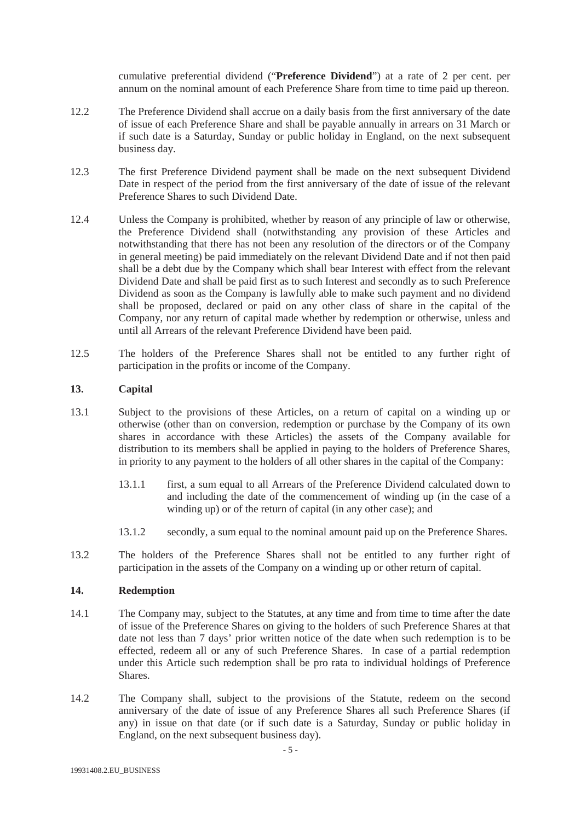cumulative preferential dividend ("**Preference Dividend**") at a rate of 2 per cent. per annum on the nominal amount of each Preference Share from time to time paid up thereon.

- 12.2 The Preference Dividend shall accrue on a daily basis from the first anniversary of the date of issue of each Preference Share and shall be payable annually in arrears on 31 March or if such date is a Saturday, Sunday or public holiday in England, on the next subsequent business day.
- 12.3 The first Preference Dividend payment shall be made on the next subsequent Dividend Date in respect of the period from the first anniversary of the date of issue of the relevant Preference Shares to such Dividend Date.
- 12.4 Unless the Company is prohibited, whether by reason of any principle of law or otherwise, the Preference Dividend shall (notwithstanding any provision of these Articles and notwithstanding that there has not been any resolution of the directors or of the Company in general meeting) be paid immediately on the relevant Dividend Date and if not then paid shall be a debt due by the Company which shall bear Interest with effect from the relevant Dividend Date and shall be paid first as to such Interest and secondly as to such Preference Dividend as soon as the Company is lawfully able to make such payment and no dividend shall be proposed, declared or paid on any other class of share in the capital of the Company, nor any return of capital made whether by redemption or otherwise, unless and until all Arrears of the relevant Preference Dividend have been paid.
- 12.5 The holders of the Preference Shares shall not be entitled to any further right of participation in the profits or income of the Company.

## **13. Capital**

- 13.1 Subject to the provisions of these Articles, on a return of capital on a winding up or otherwise (other than on conversion, redemption or purchase by the Company of its own shares in accordance with these Articles) the assets of the Company available for distribution to its members shall be applied in paying to the holders of Preference Shares, in priority to any payment to the holders of all other shares in the capital of the Company:
	- 13.1.1 first, a sum equal to all Arrears of the Preference Dividend calculated down to and including the date of the commencement of winding up (in the case of a winding up) or of the return of capital (in any other case); and
	- 13.1.2 secondly, a sum equal to the nominal amount paid up on the Preference Shares.
- 13.2 The holders of the Preference Shares shall not be entitled to any further right of participation in the assets of the Company on a winding up or other return of capital.

# **14. Redemption**

- 14.1 The Company may, subject to the Statutes, at any time and from time to time after the date of issue of the Preference Shares on giving to the holders of such Preference Shares at that date not less than 7 days' prior written notice of the date when such redemption is to be effected, redeem all or any of such Preference Shares. In case of a partial redemption under this Article such redemption shall be pro rata to individual holdings of Preference **Shares**.
- 14.2 The Company shall, subject to the provisions of the Statute, redeem on the second anniversary of the date of issue of any Preference Shares all such Preference Shares (if any) in issue on that date (or if such date is a Saturday, Sunday or public holiday in England, on the next subsequent business day).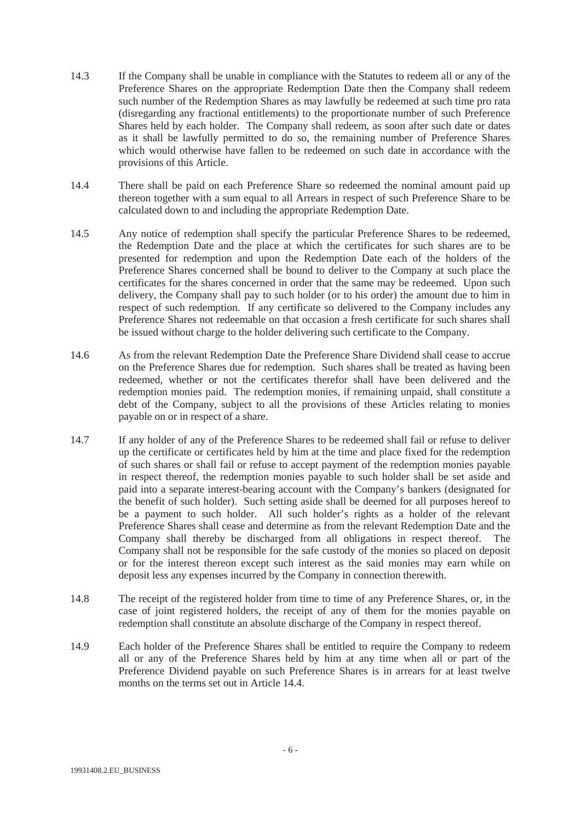- 14.3 If the Company shall be unable in compliance with the Statutes to redeem all or any of the Preference Shares on the appropriate Redemption Date then the Company shall redeem such number of the Redemption Shares as may lawfully be redeemed at such time pro rata (disregarding any fractional entitlements) to the proportionate number of such Preference Shares held by each holder. The Company shall redeem, as soon after such date or dates as it shall be lawfully permitted to do so, the remaining number of Preference Shares which would otherwise have fallen to be redeemed on such date in accordance with the provisions of this Article.
- 14.4 There shall be paid on each Preference Share so redeemed the nominal amount paid up thereon together with a sum equal to all Arrears in respect of such Preference Share to be calculated down to and including the appropriate Redemption Date.
- 14.5 Any notice of redemption shall specify the particular Preference Shares to be redeemed, the Redemption Date and the place at which the certificates for such shares are to be presented for redemption and upon the Redemption Date each of the holders of the Preference Shares concerned shall be bound to deliver to the Company at such place the certificates for the shares concerned in order that the same may be redeemed. Upon such delivery, the Company shall pay to such holder (or to his order) the amount due to him in respect of such redemption. If any certificate so delivered to the Company includes any Preference Shares not redeemable on that occasion a fresh certificate for such shares shall be issued without charge to the holder delivering such certificate to the Company.
- 14.6 As from the relevant Redemption Date the Preference Share Dividend shall cease to accrue on the Preference Shares due for redemption. Such shares shall be treated as having been redeemed, whether or not the certificates therefor shall have been delivered and the redemption monies paid. The redemption monies, if remaining unpaid, shall constitute a debt of the Company, subject to all the provisions of these Articles relating to monies payable on or in respect of a share.
- 14.7 If any holder of any of the Preference Shares to be redeemed shall fail or refuse to deliver up the certificate or certificates held by him at the time and place fixed for the redemption of such shares or shall fail or refuse to accept payment of the redemption monies payable in respect thereof, the redemption monies payable to such holder shall be set aside and paid into a separate interest-bearing account with the Company's bankers (designated for the benefit of such holder). Such setting aside shall be deemed for all purposes hereof to be a payment to such holder. All such holder's rights as a holder of the relevant Preference Shares shall cease and determine as from the relevant Redemption Date and the Company shall thereby be discharged from all obligations in respect thereof. The Company shall not be responsible for the safe custody of the monies so placed on deposit or for the interest thereon except such interest as the said monies may earn while on deposit less any expenses incurred by the Company in connection therewith.
- 14.8 The receipt of the registered holder from time to time of any Preference Shares, or, in the case of joint registered holders, the receipt of any of them for the monies payable on redemption shall constitute an absolute discharge of the Company in respect thereof.
- 14.9 Each holder of the Preference Shares shall be entitled to require the Company to redeem all or any of the Preference Shares held by him at any time when all or part of the Preference Dividend payable on such Preference Shares is in arrears for at least twelve months on the terms set out in Article 14.4.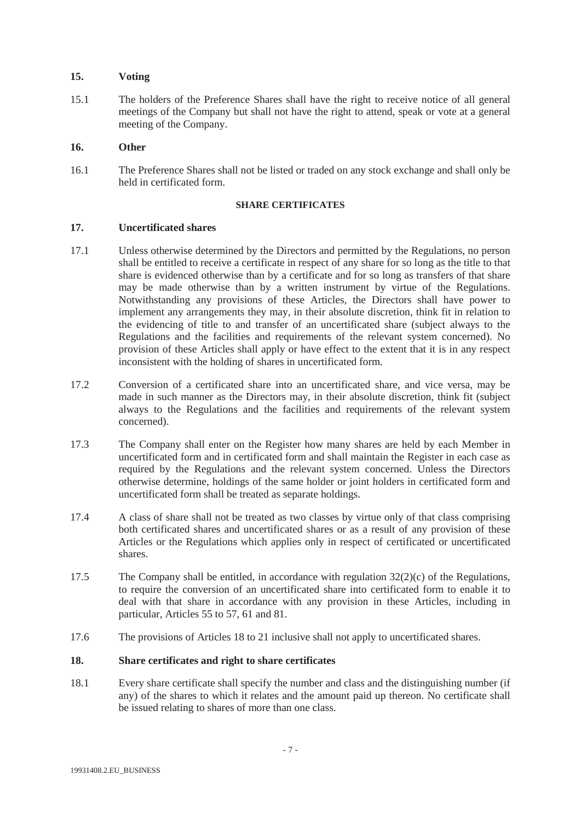# **15. Voting**

15.1 The holders of the Preference Shares shall have the right to receive notice of all general meetings of the Company but shall not have the right to attend, speak or vote at a general meeting of the Company.

# **16. Other**

16.1 The Preference Shares shall not be listed or traded on any stock exchange and shall only be held in certificated form.

#### **SHARE CERTIFICATES**

## **17. Uncertificated shares**

- 17.1 Unless otherwise determined by the Directors and permitted by the Regulations, no person shall be entitled to receive a certificate in respect of any share for so long as the title to that share is evidenced otherwise than by a certificate and for so long as transfers of that share may be made otherwise than by a written instrument by virtue of the Regulations. Notwithstanding any provisions of these Articles, the Directors shall have power to implement any arrangements they may, in their absolute discretion, think fit in relation to the evidencing of title to and transfer of an uncertificated share (subject always to the Regulations and the facilities and requirements of the relevant system concerned). No provision of these Articles shall apply or have effect to the extent that it is in any respect inconsistent with the holding of shares in uncertificated form.
- 17.2 Conversion of a certificated share into an uncertificated share, and vice versa, may be made in such manner as the Directors may, in their absolute discretion, think fit (subject always to the Regulations and the facilities and requirements of the relevant system concerned).
- 17.3 The Company shall enter on the Register how many shares are held by each Member in uncertificated form and in certificated form and shall maintain the Register in each case as required by the Regulations and the relevant system concerned. Unless the Directors otherwise determine, holdings of the same holder or joint holders in certificated form and uncertificated form shall be treated as separate holdings.
- 17.4 A class of share shall not be treated as two classes by virtue only of that class comprising both certificated shares and uncertificated shares or as a result of any provision of these Articles or the Regulations which applies only in respect of certificated or uncertificated shares.
- 17.5 The Company shall be entitled, in accordance with regulation  $32(2)(c)$  of the Regulations, to require the conversion of an uncertificated share into certificated form to enable it to deal with that share in accordance with any provision in these Articles, including in particular, Articles 55 to 57, 61 and 81.
- 17.6 The provisions of Articles 18 to 21 inclusive shall not apply to uncertificated shares.

# **18. Share certificates and right to share certificates**

18.1 Every share certificate shall specify the number and class and the distinguishing number (if any) of the shares to which it relates and the amount paid up thereon. No certificate shall be issued relating to shares of more than one class.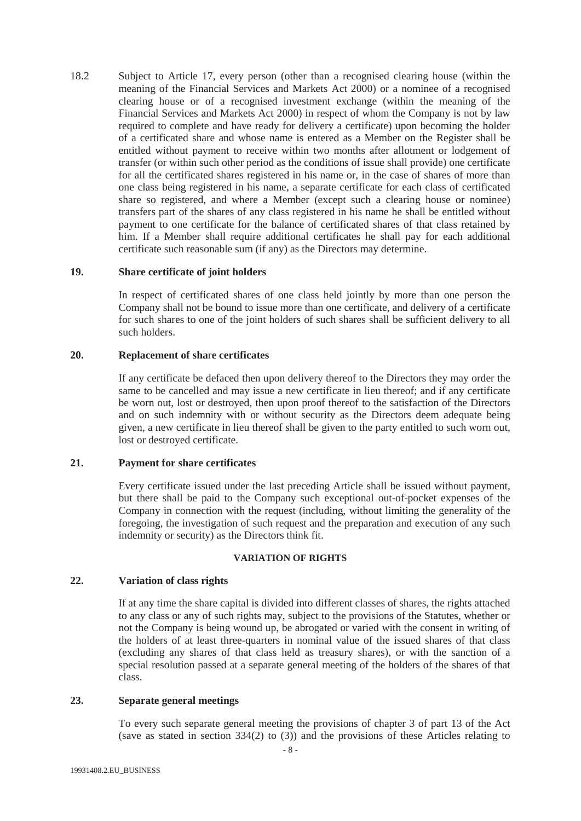18.2 Subject to Article 17, every person (other than a recognised clearing house (within the meaning of the Financial Services and Markets Act 2000) or a nominee of a recognised clearing house or of a recognised investment exchange (within the meaning of the Financial Services and Markets Act 2000) in respect of whom the Company is not by law required to complete and have ready for delivery a certificate) upon becoming the holder of a certificated share and whose name is entered as a Member on the Register shall be entitled without payment to receive within two months after allotment or lodgement of transfer (or within such other period as the conditions of issue shall provide) one certificate for all the certificated shares registered in his name or, in the case of shares of more than one class being registered in his name, a separate certificate for each class of certificated share so registered, and where a Member (except such a clearing house or nominee) transfers part of the shares of any class registered in his name he shall be entitled without payment to one certificate for the balance of certificated shares of that class retained by him. If a Member shall require additional certificates he shall pay for each additional certificate such reasonable sum (if any) as the Directors may determine.

#### **19. Share certificate of joint holders**

In respect of certificated shares of one class held jointly by more than one person the Company shall not be bound to issue more than one certificate, and delivery of a certificate for such shares to one of the joint holders of such shares shall be sufficient delivery to all such holders.

#### **20. Replacement of sha**r**e certificates**

If any certificate be defaced then upon delivery thereof to the Directors they may order the same to be cancelled and may issue a new certificate in lieu thereof; and if any certificate be worn out, lost or destroyed, then upon proof thereof to the satisfaction of the Directors and on such indemnity with or without security as the Directors deem adequate being given, a new certificate in lieu thereof shall be given to the party entitled to such worn out, lost or destroyed certificate.

### **21. Payment for share certificates**

Every certificate issued under the last preceding Article shall be issued without payment, but there shall be paid to the Company such exceptional out-of-pocket expenses of the Company in connection with the request (including, without limiting the generality of the foregoing, the investigation of such request and the preparation and execution of any such indemnity or security) as the Directors think fit.

#### **VARIATION OF RIGHTS**

## **22. Variation of class rights**

If at any time the share capital is divided into different classes of shares, the rights attached to any class or any of such rights may, subject to the provisions of the Statutes, whether or not the Company is being wound up, be abrogated or varied with the consent in writing of the holders of at least three-quarters in nominal value of the issued shares of that class (excluding any shares of that class held as treasury shares), or with the sanction of a special resolution passed at a separate general meeting of the holders of the shares of that class.

# **23. Separate general meetings**

To every such separate general meeting the provisions of chapter 3 of part 13 of the Act (save as stated in section 334(2) to (3)) and the provisions of these Articles relating to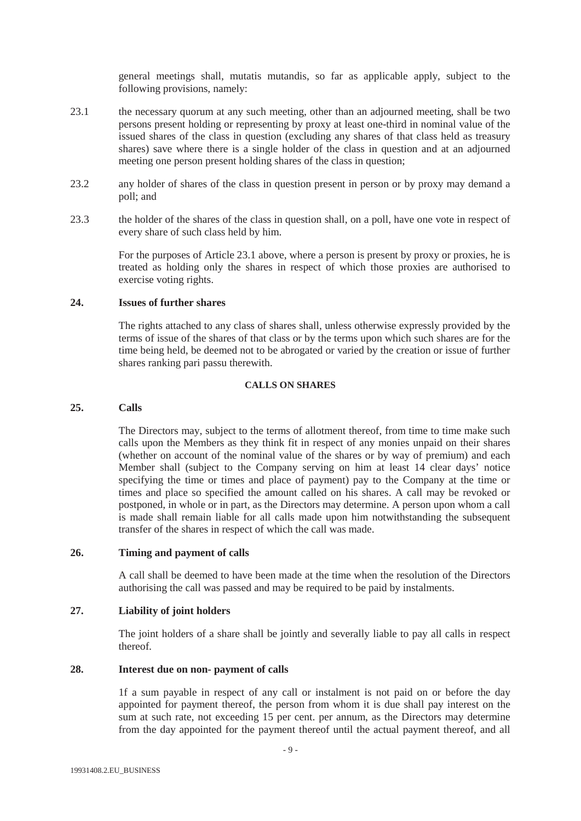general meetings shall, mutatis mutandis, so far as applicable apply, subject to the following provisions, namely:

- 23.1 the necessary quorum at any such meeting, other than an adjourned meeting, shall be two persons present holding or representing by proxy at least one-third in nominal value of the issued shares of the class in question (excluding any shares of that class held as treasury shares) save where there is a single holder of the class in question and at an adjourned meeting one person present holding shares of the class in question;
- 23.2 any holder of shares of the class in question present in person or by proxy may demand a poll; and
- 23.3 the holder of the shares of the class in question shall, on a poll, have one vote in respect of every share of such class held by him.

For the purposes of Article 23.1 above, where a person is present by proxy or proxies, he is treated as holding only the shares in respect of which those proxies are authorised to exercise voting rights.

# **24. Issues of further shares**

The rights attached to any class of shares shall, unless otherwise expressly provided by the terms of issue of the shares of that class or by the terms upon which such shares are for the time being held, be deemed not to be abrogated or varied by the creation or issue of further shares ranking pari passu therewith.

## **CALLS ON SHARES**

## **25. Calls**

The Directors may, subject to the terms of allotment thereof, from time to time make such calls upon the Members as they think fit in respect of any monies unpaid on their shares (whether on account of the nominal value of the shares or by way of premium) and each Member shall (subject to the Company serving on him at least 14 clear days' notice specifying the time or times and place of payment) pay to the Company at the time or times and place so specified the amount called on his shares. A call may be revoked or postponed, in whole or in part, as the Directors may determine. A person upon whom a call is made shall remain liable for all calls made upon him notwithstanding the subsequent transfer of the shares in respect of which the call was made.

## **26. Timing and payment of calls**

A call shall be deemed to have been made at the time when the resolution of the Directors authorising the call was passed and may be required to be paid by instalments.

# **27. Liability of joint holders**

The joint holders of a share shall be jointly and severally liable to pay all calls in respect thereof.

#### **28. Interest due on non- payment of calls**

1f a sum payable in respect of any call or instalment is not paid on or before the day appointed for payment thereof, the person from whom it is due shall pay interest on the sum at such rate, not exceeding 15 per cent. per annum, as the Directors may determine from the day appointed for the payment thereof until the actual payment thereof, and all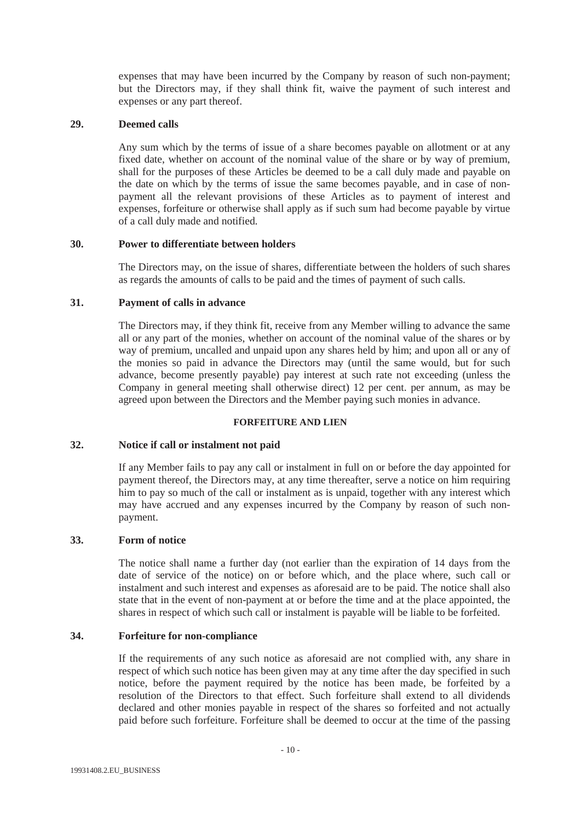expenses that may have been incurred by the Company by reason of such non-payment; but the Directors may, if they shall think fit, waive the payment of such interest and expenses or any part thereof.

# **29. Deemed calls**

Any sum which by the terms of issue of a share becomes payable on allotment or at any fixed date, whether on account of the nominal value of the share or by way of premium, shall for the purposes of these Articles be deemed to be a call duly made and payable on the date on which by the terms of issue the same becomes payable, and in case of nonpayment all the relevant provisions of these Articles as to payment of interest and expenses, forfeiture or otherwise shall apply as if such sum had become payable by virtue of a call duly made and notified.

# **30. Power to differentiate between holders**

The Directors may, on the issue of shares, differentiate between the holders of such shares as regards the amounts of calls to be paid and the times of payment of such calls.

## **31. Payment of calls in advance**

The Directors may, if they think fit, receive from any Member willing to advance the same all or any part of the monies, whether on account of the nominal value of the shares or by way of premium, uncalled and unpaid upon any shares held by him; and upon all or any of the monies so paid in advance the Directors may (until the same would, but for such advance, become presently payable) pay interest at such rate not exceeding (unless the Company in general meeting shall otherwise direct) 12 per cent. per annum, as may be agreed upon between the Directors and the Member paying such monies in advance.

# **FORFEITURE AND LIEN**

# **32. Notice if call or instalment not paid**

If any Member fails to pay any call or instalment in full on or before the day appointed for payment thereof, the Directors may, at any time thereafter, serve a notice on him requiring him to pay so much of the call or instalment as is unpaid, together with any interest which may have accrued and any expenses incurred by the Company by reason of such nonpayment.

# **33. Form of notice**

The notice shall name a further day (not earlier than the expiration of 14 days from the date of service of the notice) on or before which, and the place where, such call or instalment and such interest and expenses as aforesaid are to be paid. The notice shall also state that in the event of non-payment at or before the time and at the place appointed, the shares in respect of which such call or instalment is payable will be liable to be forfeited.

#### **34. Forfeiture for non-compliance**

If the requirements of any such notice as aforesaid are not complied with, any share in respect of which such notice has been given may at any time after the day specified in such notice, before the payment required by the notice has been made, be forfeited by a resolution of the Directors to that effect. Such forfeiture shall extend to all dividends declared and other monies payable in respect of the shares so forfeited and not actually paid before such forfeiture. Forfeiture shall be deemed to occur at the time of the passing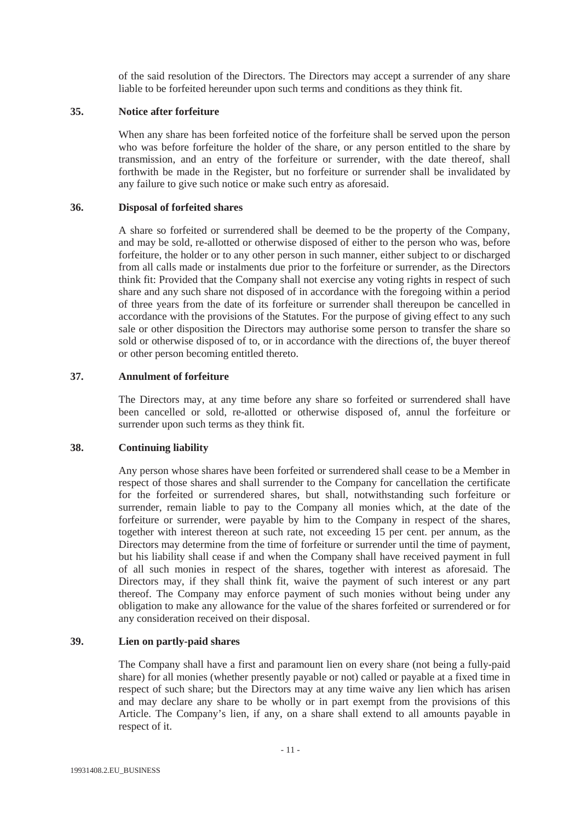of the said resolution of the Directors. The Directors may accept a surrender of any share liable to be forfeited hereunder upon such terms and conditions as they think fit.

# **35. Notice after forfeiture**

When any share has been forfeited notice of the forfeiture shall be served upon the person who was before forfeiture the holder of the share, or any person entitled to the share by transmission, and an entry of the forfeiture or surrender, with the date thereof, shall forthwith be made in the Register, but no forfeiture or surrender shall be invalidated by any failure to give such notice or make such entry as aforesaid.

## **36. Disposal of forfeited shares**

A share so forfeited or surrendered shall be deemed to be the property of the Company, and may be sold, re-allotted or otherwise disposed of either to the person who was, before forfeiture, the holder or to any other person in such manner, either subject to or discharged from all calls made or instalments due prior to the forfeiture or surrender, as the Directors think fit: Provided that the Company shall not exercise any voting rights in respect of such share and any such share not disposed of in accordance with the foregoing within a period of three years from the date of its forfeiture or surrender shall thereupon be cancelled in accordance with the provisions of the Statutes. For the purpose of giving effect to any such sale or other disposition the Directors may authorise some person to transfer the share so sold or otherwise disposed of to, or in accordance with the directions of, the buyer thereof or other person becoming entitled thereto.

# **37. Annulment of forfeiture**

The Directors may, at any time before any share so forfeited or surrendered shall have been cancelled or sold, re-allotted or otherwise disposed of, annul the forfeiture or surrender upon such terms as they think fit.

## **38. Continuing liability**

Any person whose shares have been forfeited or surrendered shall cease to be a Member in respect of those shares and shall surrender to the Company for cancellation the certificate for the forfeited or surrendered shares, but shall, notwithstanding such forfeiture or surrender, remain liable to pay to the Company all monies which, at the date of the forfeiture or surrender, were payable by him to the Company in respect of the shares, together with interest thereon at such rate, not exceeding 15 per cent. per annum, as the Directors may determine from the time of forfeiture or surrender until the time of payment, but his liability shall cease if and when the Company shall have received payment in full of all such monies in respect of the shares, together with interest as aforesaid. The Directors may, if they shall think fit, waive the payment of such interest or any part thereof. The Company may enforce payment of such monies without being under any obligation to make any allowance for the value of the shares forfeited or surrendered or for any consideration received on their disposal.

# **39. Lien on partly-paid shares**

The Company shall have a first and paramount lien on every share (not being a fully-paid share) for all monies (whether presently payable or not) called or payable at a fixed time in respect of such share; but the Directors may at any time waive any lien which has arisen and may declare any share to be wholly or in part exempt from the provisions of this Article. The Company's lien, if any, on a share shall extend to all amounts payable in respect of it.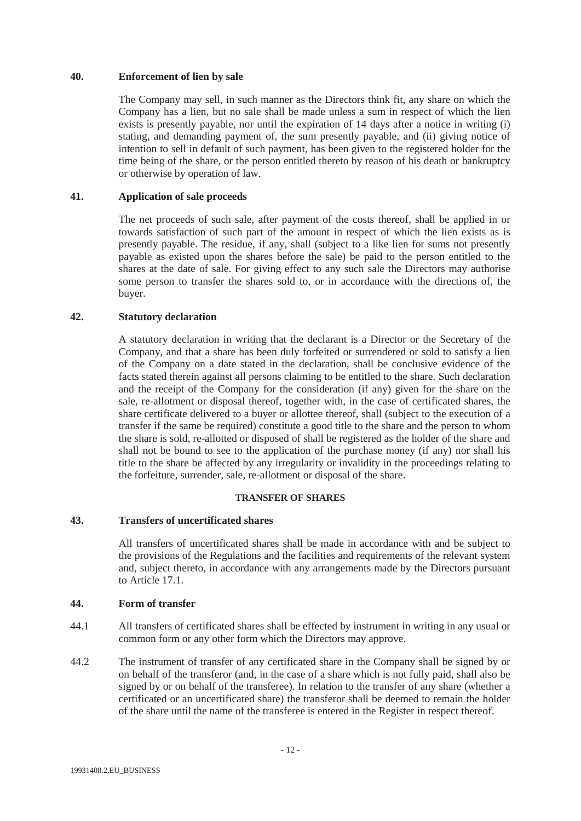# **40. Enforcement of lien by sale**

The Company may sell, in such manner as the Directors think fit, any share on which the Company has a lien, but no sale shall be made unless a sum in respect of which the lien exists is presently payable, nor until the expiration of 14 days after a notice in writing (i) stating, and demanding payment of, the sum presently payable, and (ii) giving notice of intention to sell in default of such payment, has been given to the registered holder for the time being of the share, or the person entitled thereto by reason of his death or bankruptcy or otherwise by operation of law.

# **41. Application of sale proceeds**

The net proceeds of such sale, after payment of the costs thereof, shall be applied in or towards satisfaction of such part of the amount in respect of which the lien exists as is presently payable. The residue, if any, shall (subject to a like lien for sums not presently payable as existed upon the shares before the sale) be paid to the person entitled to the shares at the date of sale. For giving effect to any such sale the Directors may authorise some person to transfer the shares sold to, or in accordance with the directions of, the buyer.

## **42. Statutory declaration**

A statutory declaration in writing that the declarant is a Director or the Secretary of the Company, and that a share has been duly forfeited or surrendered or sold to satisfy a lien of the Company on a date stated in the declaration, shall be conclusive evidence of the facts stated therein against all persons claiming to be entitled to the share. Such declaration and the receipt of the Company for the consideration (if any) given for the share on the sale, re-allotment or disposal thereof, together with, in the case of certificated shares, the share certificate delivered to a buyer or allottee thereof, shall (subject to the execution of a transfer if the same be required) constitute a good title to the share and the person to whom the share is sold, re-allotted or disposed of shall be registered as the holder of the share and shall not be bound to see to the application of the purchase money (if any) nor shall his title to the share be affected by any irregularity or invalidity in the proceedings relating to the forfeiture, surrender, sale, re-allotment or disposal of the share.

#### **TRANSFER OF SHARES**

# **43. Transfers of uncertificated shares**

All transfers of uncertificated shares shall be made in accordance with and be subject to the provisions of the Regulations and the facilities and requirements of the relevant system and, subject thereto, in accordance with any arrangements made by the Directors pursuant to Article 17.1.

#### **44. Form of transfer**

- 44.1 All transfers of certificated shares shall be effected by instrument in writing in any usual or common form or any other form which the Directors may approve.
- 44.2 The instrument of transfer of any certificated share in the Company shall be signed by or on behalf of the transferor (and, in the case of a share which is not fully paid, shall also be signed by or on behalf of the transferee). In relation to the transfer of any share (whether a certificated or an uncertificated share) the transferor shall be deemed to remain the holder of the share until the name of the transferee is entered in the Register in respect thereof.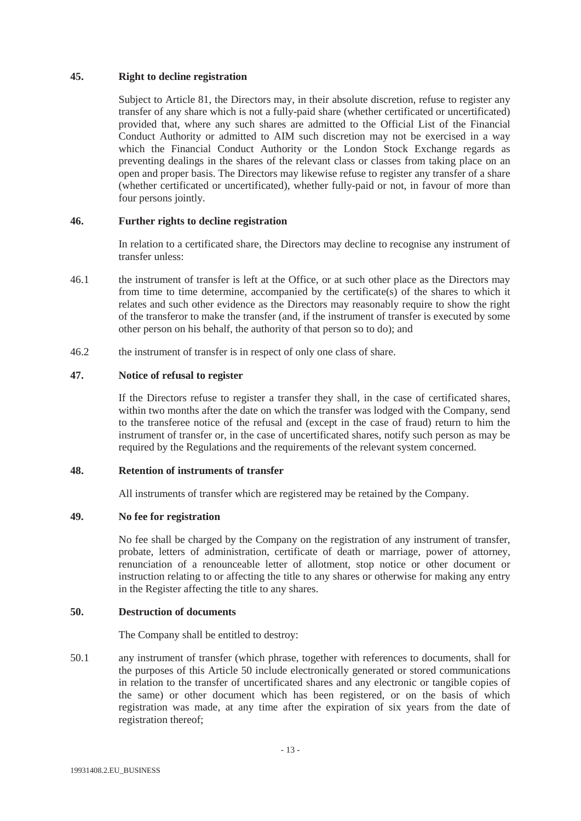# **45. Right to decline registration**

Subject to Article 81, the Directors may, in their absolute discretion, refuse to register any transfer of any share which is not a fully-paid share (whether certificated or uncertificated) provided that, where any such shares are admitted to the Official List of the Financial Conduct Authority or admitted to AIM such discretion may not be exercised in a way which the Financial Conduct Authority or the London Stock Exchange regards as preventing dealings in the shares of the relevant class or classes from taking place on an open and proper basis. The Directors may likewise refuse to register any transfer of a share (whether certificated or uncertificated), whether fully-paid or not, in favour of more than four persons jointly.

# **46. Further rights to decline registration**

In relation to a certificated share, the Directors may decline to recognise any instrument of transfer unless:

- 46.1 the instrument of transfer is left at the Office, or at such other place as the Directors may from time to time determine, accompanied by the certificate(s) of the shares to which it relates and such other evidence as the Directors may reasonably require to show the right of the transferor to make the transfer (and, if the instrument of transfer is executed by some other person on his behalf, the authority of that person so to do); and
- 46.2 the instrument of transfer is in respect of only one class of share.

# **47. Notice of refusal to register**

If the Directors refuse to register a transfer they shall, in the case of certificated shares, within two months after the date on which the transfer was lodged with the Company, send to the transferee notice of the refusal and (except in the case of fraud) return to him the instrument of transfer or, in the case of uncertificated shares, notify such person as may be required by the Regulations and the requirements of the relevant system concerned.

# **48. Retention of instruments of transfer**

All instruments of transfer which are registered may be retained by the Company.

# **49. No fee for registration**

No fee shall be charged by the Company on the registration of any instrument of transfer, probate, letters of administration, certificate of death or marriage, power of attorney, renunciation of a renounceable letter of allotment, stop notice or other document or instruction relating to or affecting the title to any shares or otherwise for making any entry in the Register affecting the title to any shares.

# **50. Destruction of documents**

The Company shall be entitled to destroy:

50.1 any instrument of transfer (which phrase, together with references to documents, shall for the purposes of this Article 50 include electronically generated or stored communications in relation to the transfer of uncertificated shares and any electronic or tangible copies of the same) or other document which has been registered, or on the basis of which registration was made, at any time after the expiration of six years from the date of registration thereof;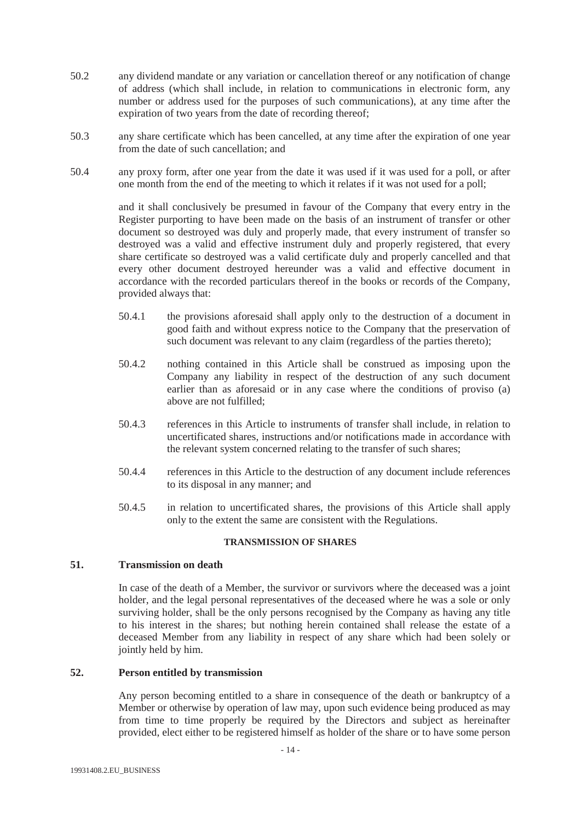- 50.2 any dividend mandate or any variation or cancellation thereof or any notification of change of address (which shall include, in relation to communications in electronic form, any number or address used for the purposes of such communications), at any time after the expiration of two years from the date of recording thereof;
- 50.3 any share certificate which has been cancelled, at any time after the expiration of one year from the date of such cancellation; and
- 50.4 any proxy form, after one year from the date it was used if it was used for a poll, or after one month from the end of the meeting to which it relates if it was not used for a poll;

and it shall conclusively be presumed in favour of the Company that every entry in the Register purporting to have been made on the basis of an instrument of transfer or other document so destroyed was duly and properly made, that every instrument of transfer so destroyed was a valid and effective instrument duly and properly registered, that every share certificate so destroyed was a valid certificate duly and properly cancelled and that every other document destroyed hereunder was a valid and effective document in accordance with the recorded particulars thereof in the books or records of the Company, provided always that:

- 50.4.1 the provisions aforesaid shall apply only to the destruction of a document in good faith and without express notice to the Company that the preservation of such document was relevant to any claim (regardless of the parties thereto);
- 50.4.2 nothing contained in this Article shall be construed as imposing upon the Company any liability in respect of the destruction of any such document earlier than as aforesaid or in any case where the conditions of proviso (a) above are not fulfilled;
- 50.4.3 references in this Article to instruments of transfer shall include, in relation to uncertificated shares, instructions and/or notifications made in accordance with the relevant system concerned relating to the transfer of such shares;
- 50.4.4 references in this Article to the destruction of any document include references to its disposal in any manner; and
- 50.4.5 in relation to uncertificated shares, the provisions of this Article shall apply only to the extent the same are consistent with the Regulations.

# **TRANSMISSION OF SHARES**

# **51. Transmission on death**

In case of the death of a Member, the survivor or survivors where the deceased was a joint holder, and the legal personal representatives of the deceased where he was a sole or only surviving holder, shall be the only persons recognised by the Company as having any title to his interest in the shares; but nothing herein contained shall release the estate of a deceased Member from any liability in respect of any share which had been solely or jointly held by him.

# **52. Person entitled by transmission**

Any person becoming entitled to a share in consequence of the death or bankruptcy of a Member or otherwise by operation of law may, upon such evidence being produced as may from time to time properly be required by the Directors and subject as hereinafter provided, elect either to be registered himself as holder of the share or to have some person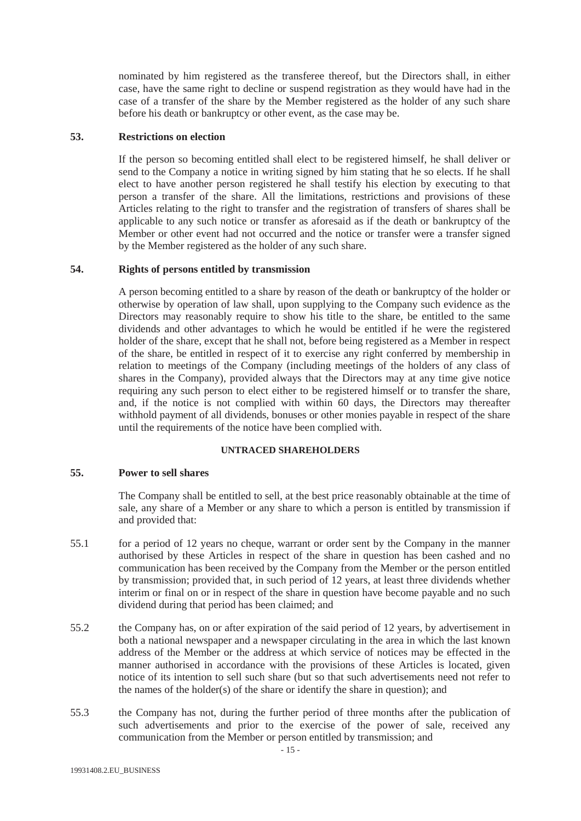nominated by him registered as the transferee thereof, but the Directors shall, in either case, have the same right to decline or suspend registration as they would have had in the case of a transfer of the share by the Member registered as the holder of any such share before his death or bankruptcy or other event, as the case may be.

## **53. Restrictions on election**

If the person so becoming entitled shall elect to be registered himself, he shall deliver or send to the Company a notice in writing signed by him stating that he so elects. If he shall elect to have another person registered he shall testify his election by executing to that person a transfer of the share. All the limitations, restrictions and provisions of these Articles relating to the right to transfer and the registration of transfers of shares shall be applicable to any such notice or transfer as aforesaid as if the death or bankruptcy of the Member or other event had not occurred and the notice or transfer were a transfer signed by the Member registered as the holder of any such share.

## **54. Rights of persons entitled by transmission**

A person becoming entitled to a share by reason of the death or bankruptcy of the holder or otherwise by operation of law shall, upon supplying to the Company such evidence as the Directors may reasonably require to show his title to the share, be entitled to the same dividends and other advantages to which he would be entitled if he were the registered holder of the share, except that he shall not, before being registered as a Member in respect of the share, be entitled in respect of it to exercise any right conferred by membership in relation to meetings of the Company (including meetings of the holders of any class of shares in the Company), provided always that the Directors may at any time give notice requiring any such person to elect either to be registered himself or to transfer the share, and, if the notice is not complied with within 60 days, the Directors may thereafter withhold payment of all dividends, bonuses or other monies payable in respect of the share until the requirements of the notice have been complied with.

#### **UNTRACED SHAREHOLDERS**

# **55. Power to sell shares**

The Company shall be entitled to sell, at the best price reasonably obtainable at the time of sale, any share of a Member or any share to which a person is entitled by transmission if and provided that:

- 55.1 for a period of 12 years no cheque, warrant or order sent by the Company in the manner authorised by these Articles in respect of the share in question has been cashed and no communication has been received by the Company from the Member or the person entitled by transmission; provided that, in such period of 12 years, at least three dividends whether interim or final on or in respect of the share in question have become payable and no such dividend during that period has been claimed; and
- 55.2 the Company has, on or after expiration of the said period of 12 years, by advertisement in both a national newspaper and a newspaper circulating in the area in which the last known address of the Member or the address at which service of notices may be effected in the manner authorised in accordance with the provisions of these Articles is located, given notice of its intention to sell such share (but so that such advertisements need not refer to the names of the holder(s) of the share or identify the share in question); and
- 55.3 the Company has not, during the further period of three months after the publication of such advertisements and prior to the exercise of the power of sale, received any communication from the Member or person entitled by transmission; and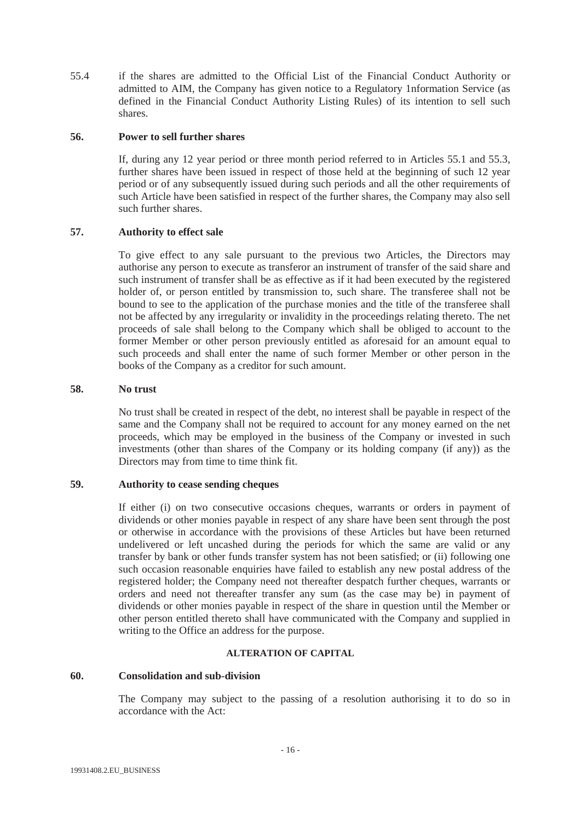55.4 if the shares are admitted to the Official List of the Financial Conduct Authority or admitted to AIM, the Company has given notice to a Regulatory 1nformation Service (as defined in the Financial Conduct Authority Listing Rules) of its intention to sell such shares.

## **56. Power to sell further shares**

If, during any 12 year period or three month period referred to in Articles 55.1 and 55.3, further shares have been issued in respect of those held at the beginning of such 12 year period or of any subsequently issued during such periods and all the other requirements of such Article have been satisfied in respect of the further shares, the Company may also sell such further shares.

# **57. Authority to effect sale**

To give effect to any sale pursuant to the previous two Articles, the Directors may authorise any person to execute as transferor an instrument of transfer of the said share and such instrument of transfer shall be as effective as if it had been executed by the registered holder of, or person entitled by transmission to, such share. The transferee shall not be bound to see to the application of the purchase monies and the title of the transferee shall not be affected by any irregularity or invalidity in the proceedings relating thereto. The net proceeds of sale shall belong to the Company which shall be obliged to account to the former Member or other person previously entitled as aforesaid for an amount equal to such proceeds and shall enter the name of such former Member or other person in the books of the Company as a creditor for such amount.

#### **58. No trust**

No trust shall be created in respect of the debt, no interest shall be payable in respect of the same and the Company shall not be required to account for any money earned on the net proceeds, which may be employed in the business of the Company or invested in such investments (other than shares of the Company or its holding company (if any)) as the Directors may from time to time think fit.

# **59. Authority to cease sending cheques**

If either (i) on two consecutive occasions cheques, warrants or orders in payment of dividends or other monies payable in respect of any share have been sent through the post or otherwise in accordance with the provisions of these Articles but have been returned undelivered or left uncashed during the periods for which the same are valid or any transfer by bank or other funds transfer system has not been satisfied; or (ii) following one such occasion reasonable enquiries have failed to establish any new postal address of the registered holder; the Company need not thereafter despatch further cheques, warrants or orders and need not thereafter transfer any sum (as the case may be) in payment of dividends or other monies payable in respect of the share in question until the Member or other person entitled thereto shall have communicated with the Company and supplied in writing to the Office an address for the purpose.

#### **ALTERATION OF CAPITAL**

#### **60. Consolidation and sub-division**

The Company may subject to the passing of a resolution authorising it to do so in accordance with the Act: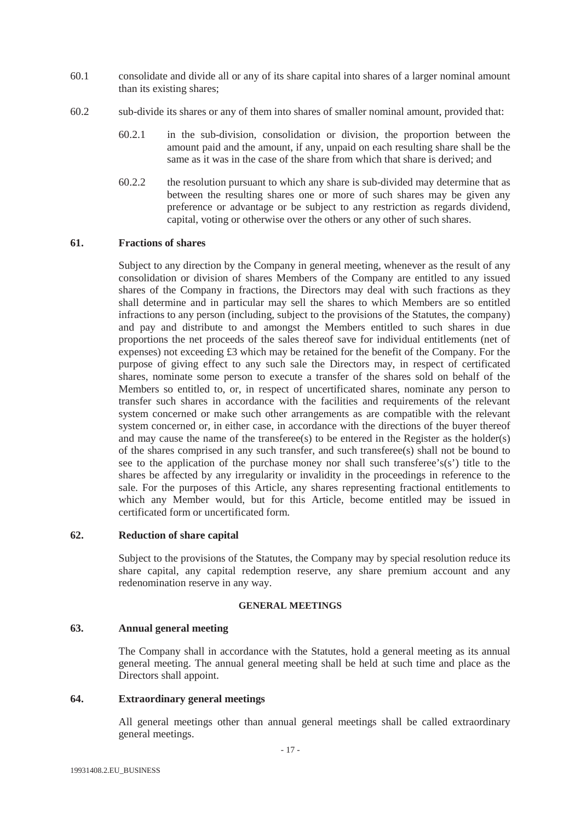- 60.1 consolidate and divide all or any of its share capital into shares of a larger nominal amount than its existing shares;
- 60.2 sub-divide its shares or any of them into shares of smaller nominal amount, provided that:
	- 60.2.1 in the sub-division, consolidation or division, the proportion between the amount paid and the amount, if any, unpaid on each resulting share shall be the same as it was in the case of the share from which that share is derived; and
	- 60.2.2 the resolution pursuant to which any share is sub-divided may determine that as between the resulting shares one or more of such shares may be given any preference or advantage or be subject to any restriction as regards dividend, capital, voting or otherwise over the others or any other of such shares.

## **61. Fractions of shares**

Subject to any direction by the Company in general meeting, whenever as the result of any consolidation or division of shares Members of the Company are entitled to any issued shares of the Company in fractions, the Directors may deal with such fractions as they shall determine and in particular may sell the shares to which Members are so entitled infractions to any person (including, subject to the provisions of the Statutes, the company) and pay and distribute to and amongst the Members entitled to such shares in due proportions the net proceeds of the sales thereof save for individual entitlements (net of expenses) not exceeding £3 which may be retained for the benefit of the Company. For the purpose of giving effect to any such sale the Directors may, in respect of certificated shares, nominate some person to execute a transfer of the shares sold on behalf of the Members so entitled to, or, in respect of uncertificated shares, nominate any person to transfer such shares in accordance with the facilities and requirements of the relevant system concerned or make such other arrangements as are compatible with the relevant system concerned or, in either case, in accordance with the directions of the buyer thereof and may cause the name of the transferee(s) to be entered in the Register as the holder(s) of the shares comprised in any such transfer, and such transferee(s) shall not be bound to see to the application of the purchase money nor shall such transferee's(s') title to the shares be affected by any irregularity or invalidity in the proceedings in reference to the sale. For the purposes of this Article, any shares representing fractional entitlements to which any Member would, but for this Article, become entitled may be issued in certificated form or uncertificated form.

# **62. Reduction of share capital**

Subject to the provisions of the Statutes, the Company may by special resolution reduce its share capital, any capital redemption reserve, any share premium account and any redenomination reserve in any way.

# **GENERAL MEETINGS**

# **63. Annual general meeting**

The Company shall in accordance with the Statutes, hold a general meeting as its annual general meeting. The annual general meeting shall be held at such time and place as the Directors shall appoint.

## **64. Extraordinary general meetings**

All general meetings other than annual general meetings shall be called extraordinary general meetings.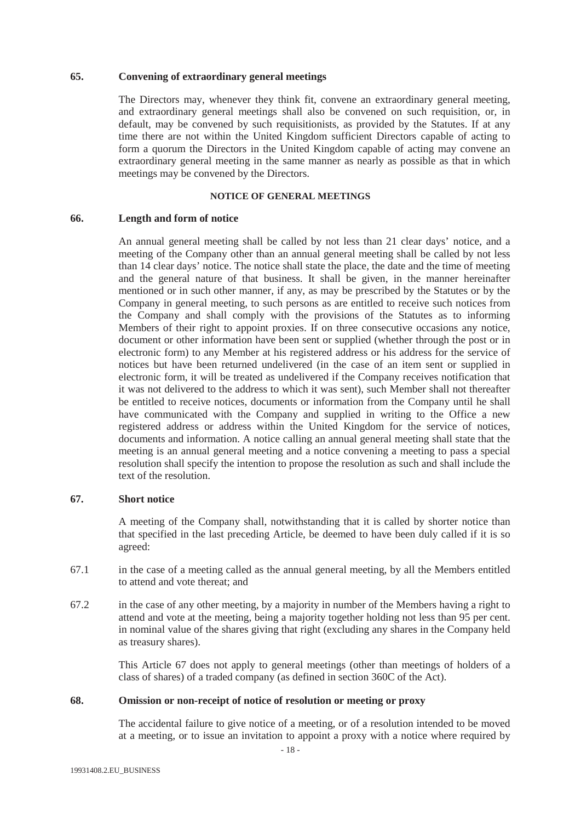#### **65. Convening of extraordinary general meetings**

The Directors may, whenever they think fit, convene an extraordinary general meeting, and extraordinary general meetings shall also be convened on such requisition, or, in default, may be convened by such requisitionists, as provided by the Statutes. If at any time there are not within the United Kingdom sufficient Directors capable of acting to form a quorum the Directors in the United Kingdom capable of acting may convene an extraordinary general meeting in the same manner as nearly as possible as that in which meetings may be convened by the Directors.

#### **NOTICE OF GENERAL MEETINGS**

#### **66. Length and form of notice**

An annual general meeting shall be called by not less than 21 clear days' notice, and a meeting of the Company other than an annual general meeting shall be called by not less than 14 clear days' notice. The notice shall state the place, the date and the time of meeting and the general nature of that business. It shall be given, in the manner hereinafter mentioned or in such other manner, if any, as may be prescribed by the Statutes or by the Company in general meeting, to such persons as are entitled to receive such notices from the Company and shall comply with the provisions of the Statutes as to informing Members of their right to appoint proxies. If on three consecutive occasions any notice, document or other information have been sent or supplied (whether through the post or in electronic form) to any Member at his registered address or his address for the service of notices but have been returned undelivered (in the case of an item sent or supplied in electronic form, it will be treated as undelivered if the Company receives notification that it was not delivered to the address to which it was sent), such Member shall not thereafter be entitled to receive notices, documents or information from the Company until he shall have communicated with the Company and supplied in writing to the Office a new registered address or address within the United Kingdom for the service of notices, documents and information. A notice calling an annual general meeting shall state that the meeting is an annual general meeting and a notice convening a meeting to pass a special resolution shall specify the intention to propose the resolution as such and shall include the text of the resolution.

# **67. Short notice**

A meeting of the Company shall, notwithstanding that it is called by shorter notice than that specified in the last preceding Article, be deemed to have been duly called if it is so agreed:

- 67.1 in the case of a meeting called as the annual general meeting, by all the Members entitled to attend and vote thereat; and
- 67.2 in the case of any other meeting, by a majority in number of the Members having a right to attend and vote at the meeting, being a majority together holding not less than 95 per cent. in nominal value of the shares giving that right (excluding any shares in the Company held as treasury shares).

This Article 67 does not apply to general meetings (other than meetings of holders of a class of shares) of a traded company (as defined in section 360C of the Act).

# **68. Omission or non-receipt of notice of resolution or meeting or proxy**

The accidental failure to give notice of a meeting, or of a resolution intended to be moved at a meeting, or to issue an invitation to appoint a proxy with a notice where required by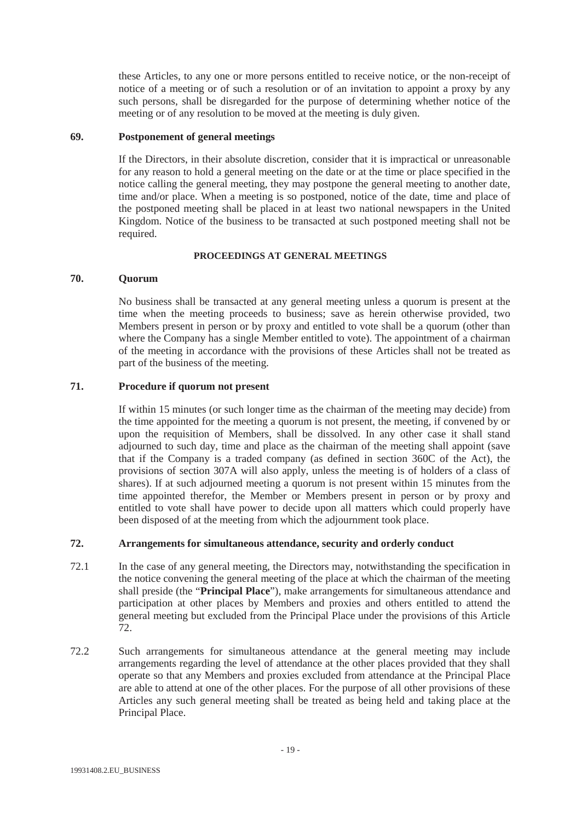these Articles, to any one or more persons entitled to receive notice, or the non-receipt of notice of a meeting or of such a resolution or of an invitation to appoint a proxy by any such persons, shall be disregarded for the purpose of determining whether notice of the meeting or of any resolution to be moved at the meeting is duly given.

## **69. Postponement of general meetings**

If the Directors, in their absolute discretion, consider that it is impractical or unreasonable for any reason to hold a general meeting on the date or at the time or place specified in the notice calling the general meeting, they may postpone the general meeting to another date, time and/or place. When a meeting is so postponed, notice of the date, time and place of the postponed meeting shall be placed in at least two national newspapers in the United Kingdom. Notice of the business to be transacted at such postponed meeting shall not be required.

## **PROCEEDINGS AT GENERAL MEETINGS**

## **70. Quorum**

No business shall be transacted at any general meeting unless a quorum is present at the time when the meeting proceeds to business; save as herein otherwise provided, two Members present in person or by proxy and entitled to vote shall be a quorum (other than where the Company has a single Member entitled to vote). The appointment of a chairman of the meeting in accordance with the provisions of these Articles shall not be treated as part of the business of the meeting.

## **71. Procedure if quorum not present**

If within 15 minutes (or such longer time as the chairman of the meeting may decide) from the time appointed for the meeting a quorum is not present, the meeting, if convened by or upon the requisition of Members, shall be dissolved. In any other case it shall stand adjourned to such day, time and place as the chairman of the meeting shall appoint (save that if the Company is a traded company (as defined in section 360C of the Act), the provisions of section 307A will also apply, unless the meeting is of holders of a class of shares). If at such adjourned meeting a quorum is not present within 15 minutes from the time appointed therefor, the Member or Members present in person or by proxy and entitled to vote shall have power to decide upon all matters which could properly have been disposed of at the meeting from which the adjournment took place.

# **72. Arrangements for simultaneous attendance, security and orderly conduct**

- 72.1 In the case of any general meeting, the Directors may, notwithstanding the specification in the notice convening the general meeting of the place at which the chairman of the meeting shall preside (the "**Principal Place**"), make arrangements for simultaneous attendance and participation at other places by Members and proxies and others entitled to attend the general meeting but excluded from the Principal Place under the provisions of this Article 72.
- 72.2 Such arrangements for simultaneous attendance at the general meeting may include arrangements regarding the level of attendance at the other places provided that they shall operate so that any Members and proxies excluded from attendance at the Principal Place are able to attend at one of the other places. For the purpose of all other provisions of these Articles any such general meeting shall be treated as being held and taking place at the Principal Place.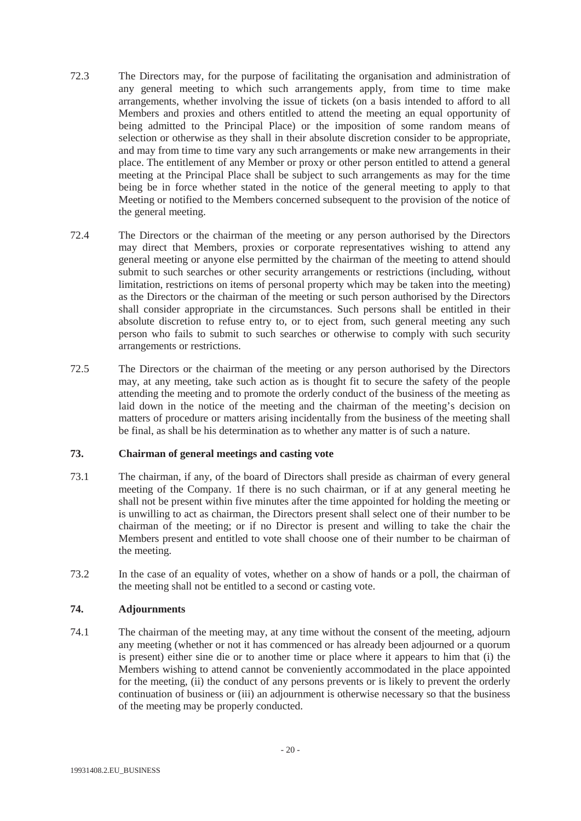- 72.3 The Directors may, for the purpose of facilitating the organisation and administration of any general meeting to which such arrangements apply, from time to time make arrangements, whether involving the issue of tickets (on a basis intended to afford to all Members and proxies and others entitled to attend the meeting an equal opportunity of being admitted to the Principal Place) or the imposition of some random means of selection or otherwise as they shall in their absolute discretion consider to be appropriate, and may from time to time vary any such arrangements or make new arrangements in their place. The entitlement of any Member or proxy or other person entitled to attend a general meeting at the Principal Place shall be subject to such arrangements as may for the time being be in force whether stated in the notice of the general meeting to apply to that Meeting or notified to the Members concerned subsequent to the provision of the notice of the general meeting.
- 72.4 The Directors or the chairman of the meeting or any person authorised by the Directors may direct that Members, proxies or corporate representatives wishing to attend any general meeting or anyone else permitted by the chairman of the meeting to attend should submit to such searches or other security arrangements or restrictions (including, without limitation, restrictions on items of personal property which may be taken into the meeting) as the Directors or the chairman of the meeting or such person authorised by the Directors shall consider appropriate in the circumstances. Such persons shall be entitled in their absolute discretion to refuse entry to, or to eject from, such general meeting any such person who fails to submit to such searches or otherwise to comply with such security arrangements or restrictions.
- 72.5 The Directors or the chairman of the meeting or any person authorised by the Directors may, at any meeting, take such action as is thought fit to secure the safety of the people attending the meeting and to promote the orderly conduct of the business of the meeting as laid down in the notice of the meeting and the chairman of the meeting's decision on matters of procedure or matters arising incidentally from the business of the meeting shall be final, as shall be his determination as to whether any matter is of such a nature.

# **73. Chairman of general meetings and casting vote**

- 73.1 The chairman, if any, of the board of Directors shall preside as chairman of every general meeting of the Company. 1f there is no such chairman, or if at any general meeting he shall not be present within five minutes after the time appointed for holding the meeting or is unwilling to act as chairman, the Directors present shall select one of their number to be chairman of the meeting; or if no Director is present and willing to take the chair the Members present and entitled to vote shall choose one of their number to be chairman of the meeting.
- 73.2 In the case of an equality of votes, whether on a show of hands or a poll, the chairman of the meeting shall not be entitled to a second or casting vote.

# **74. Adjournments**

74.1 The chairman of the meeting may, at any time without the consent of the meeting, adjourn any meeting (whether or not it has commenced or has already been adjourned or a quorum is present) either sine die or to another time or place where it appears to him that (i) the Members wishing to attend cannot be conveniently accommodated in the place appointed for the meeting, (ii) the conduct of any persons prevents or is likely to prevent the orderly continuation of business or (iii) an adjournment is otherwise necessary so that the business of the meeting may be properly conducted.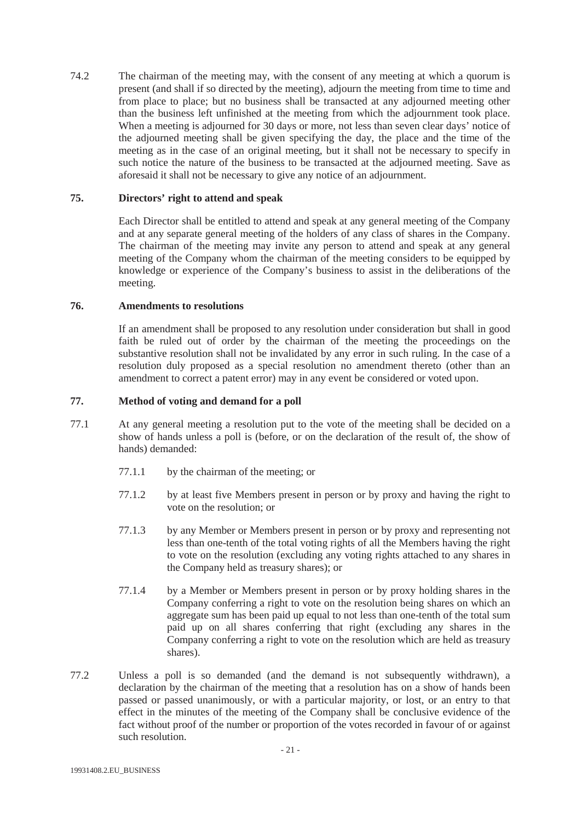74.2 The chairman of the meeting may, with the consent of any meeting at which a quorum is present (and shall if so directed by the meeting), adjourn the meeting from time to time and from place to place; but no business shall be transacted at any adjourned meeting other than the business left unfinished at the meeting from which the adjournment took place. When a meeting is adjourned for 30 days or more, not less than seven clear days' notice of the adjourned meeting shall be given specifying the day, the place and the time of the meeting as in the case of an original meeting, but it shall not be necessary to specify in such notice the nature of the business to be transacted at the adjourned meeting. Save as aforesaid it shall not be necessary to give any notice of an adjournment.

# **75. Directors' right to attend and speak**

Each Director shall be entitled to attend and speak at any general meeting of the Company and at any separate general meeting of the holders of any class of shares in the Company. The chairman of the meeting may invite any person to attend and speak at any general meeting of the Company whom the chairman of the meeting considers to be equipped by knowledge or experience of the Company's business to assist in the deliberations of the meeting.

## **76. Amendments to resolutions**

If an amendment shall be proposed to any resolution under consideration but shall in good faith be ruled out of order by the chairman of the meeting the proceedings on the substantive resolution shall not be invalidated by any error in such ruling. In the case of a resolution duly proposed as a special resolution no amendment thereto (other than an amendment to correct a patent error) may in any event be considered or voted upon.

# **77. Method of voting and demand for a poll**

- 77.1 At any general meeting a resolution put to the vote of the meeting shall be decided on a show of hands unless a poll is (before, or on the declaration of the result of, the show of hands) demanded:
	- 77.1.1 by the chairman of the meeting; or
	- 77.1.2 by at least five Members present in person or by proxy and having the right to vote on the resolution; or
	- 77.1.3 by any Member or Members present in person or by proxy and representing not less than one-tenth of the total voting rights of all the Members having the right to vote on the resolution (excluding any voting rights attached to any shares in the Company held as treasury shares); or
	- 77.1.4 by a Member or Members present in person or by proxy holding shares in the Company conferring a right to vote on the resolution being shares on which an aggregate sum has been paid up equal to not less than one-tenth of the total sum paid up on all shares conferring that right (excluding any shares in the Company conferring a right to vote on the resolution which are held as treasury shares).
- 77.2 Unless a poll is so demanded (and the demand is not subsequently withdrawn), a declaration by the chairman of the meeting that a resolution has on a show of hands been passed or passed unanimously, or with a particular majority, or lost, or an entry to that effect in the minutes of the meeting of the Company shall be conclusive evidence of the fact without proof of the number or proportion of the votes recorded in favour of or against such resolution.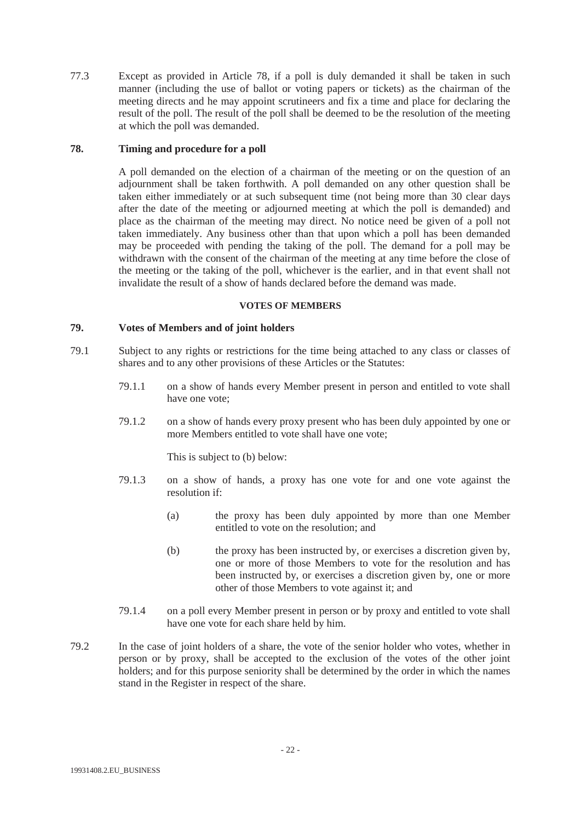77.3 Except as provided in Article 78, if a poll is duly demanded it shall be taken in such manner (including the use of ballot or voting papers or tickets) as the chairman of the meeting directs and he may appoint scrutineers and fix a time and place for declaring the result of the poll. The result of the poll shall be deemed to be the resolution of the meeting at which the poll was demanded.

# **78. Timing and procedure for a poll**

A poll demanded on the election of a chairman of the meeting or on the question of an adjournment shall be taken forthwith. A poll demanded on any other question shall be taken either immediately or at such subsequent time (not being more than 30 clear days after the date of the meeting or adjourned meeting at which the poll is demanded) and place as the chairman of the meeting may direct. No notice need be given of a poll not taken immediately. Any business other than that upon which a poll has been demanded may be proceeded with pending the taking of the poll. The demand for a poll may be withdrawn with the consent of the chairman of the meeting at any time before the close of the meeting or the taking of the poll, whichever is the earlier, and in that event shall not invalidate the result of a show of hands declared before the demand was made.

## **VOTES OF MEMBERS**

# **79. Votes of Members and of joint holders**

- 79.1 Subject to any rights or restrictions for the time being attached to any class or classes of shares and to any other provisions of these Articles or the Statutes:
	- 79.1.1 on a show of hands every Member present in person and entitled to vote shall have one vote;
	- 79.1.2 on a show of hands every proxy present who has been duly appointed by one or more Members entitled to vote shall have one vote;

This is subject to (b) below:

- 79.1.3 on a show of hands, a proxy has one vote for and one vote against the resolution if:
	- (a) the proxy has been duly appointed by more than one Member entitled to vote on the resolution; and
	- (b) the proxy has been instructed by, or exercises a discretion given by, one or more of those Members to vote for the resolution and has been instructed by, or exercises a discretion given by, one or more other of those Members to vote against it; and
- 79.1.4 on a poll every Member present in person or by proxy and entitled to vote shall have one vote for each share held by him.
- 79.2 In the case of joint holders of a share, the vote of the senior holder who votes, whether in person or by proxy, shall be accepted to the exclusion of the votes of the other joint holders; and for this purpose seniority shall be determined by the order in which the names stand in the Register in respect of the share.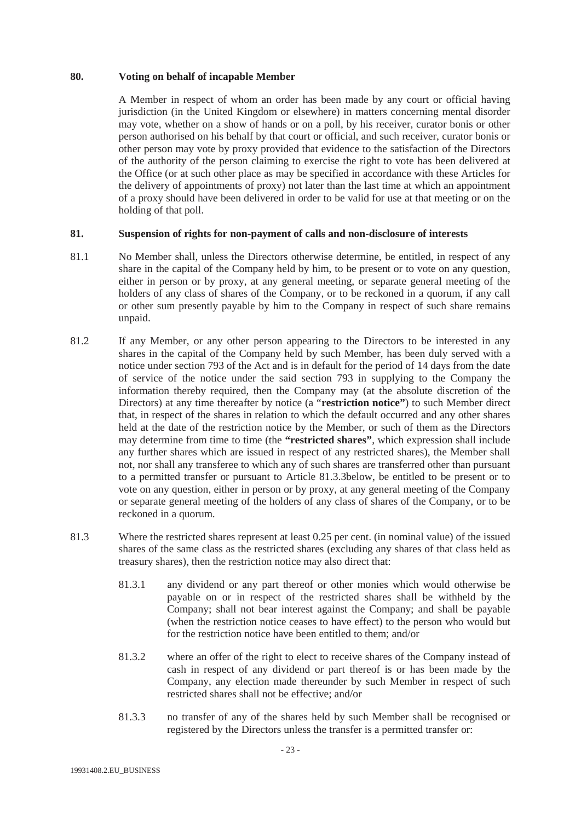# **80. Voting on behalf of incapable Member**

A Member in respect of whom an order has been made by any court or official having jurisdiction (in the United Kingdom or elsewhere) in matters concerning mental disorder may vote, whether on a show of hands or on a poll, by his receiver, curator bonis or other person authorised on his behalf by that court or official, and such receiver, curator bonis or other person may vote by proxy provided that evidence to the satisfaction of the Directors of the authority of the person claiming to exercise the right to vote has been delivered at the Office (or at such other place as may be specified in accordance with these Articles for the delivery of appointments of proxy) not later than the last time at which an appointment of a proxy should have been delivered in order to be valid for use at that meeting or on the holding of that poll.

## **81. Suspension of rights for non-payment of calls and non-disclosure of interests**

- 81.1 No Member shall, unless the Directors otherwise determine, be entitled, in respect of any share in the capital of the Company held by him, to be present or to vote on any question, either in person or by proxy, at any general meeting, or separate general meeting of the holders of any class of shares of the Company, or to be reckoned in a quorum, if any call or other sum presently payable by him to the Company in respect of such share remains unpaid.
- 81.2 If any Member, or any other person appearing to the Directors to be interested in any shares in the capital of the Company held by such Member, has been duly served with a notice under section 793 of the Act and is in default for the period of 14 days from the date of service of the notice under the said section 793 in supplying to the Company the information thereby required, then the Company may (at the absolute discretion of the Directors) at any time thereafter by notice (a "**restriction notice"**) to such Member direct that, in respect of the shares in relation to which the default occurred and any other shares held at the date of the restriction notice by the Member, or such of them as the Directors may determine from time to time (the **"restricted shares"**, which expression shall include any further shares which are issued in respect of any restricted shares), the Member shall not, nor shall any transferee to which any of such shares are transferred other than pursuant to a permitted transfer or pursuant to Article 81.3.3below, be entitled to be present or to vote on any question, either in person or by proxy, at any general meeting of the Company or separate general meeting of the holders of any class of shares of the Company, or to be reckoned in a quorum.
- 81.3 Where the restricted shares represent at least 0.25 per cent. (in nominal value) of the issued shares of the same class as the restricted shares (excluding any shares of that class held as treasury shares), then the restriction notice may also direct that:
	- 81.3.1 any dividend or any part thereof or other monies which would otherwise be payable on or in respect of the restricted shares shall be withheld by the Company; shall not bear interest against the Company; and shall be payable (when the restriction notice ceases to have effect) to the person who would but for the restriction notice have been entitled to them; and/or
	- 81.3.2 where an offer of the right to elect to receive shares of the Company instead of cash in respect of any dividend or part thereof is or has been made by the Company, any election made thereunder by such Member in respect of such restricted shares shall not be effective; and/or
	- 81.3.3 no transfer of any of the shares held by such Member shall be recognised or registered by the Directors unless the transfer is a permitted transfer or: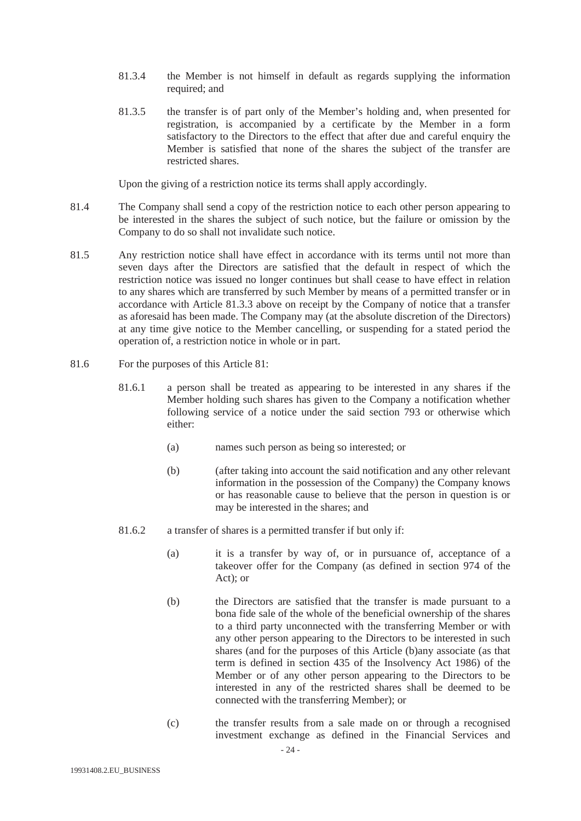- 81.3.4 the Member is not himself in default as regards supplying the information required; and
- 81.3.5 the transfer is of part only of the Member's holding and, when presented for registration, is accompanied by a certificate by the Member in a form satisfactory to the Directors to the effect that after due and careful enquiry the Member is satisfied that none of the shares the subject of the transfer are restricted shares.

Upon the giving of a restriction notice its terms shall apply accordingly.

- 81.4 The Company shall send a copy of the restriction notice to each other person appearing to be interested in the shares the subject of such notice, but the failure or omission by the Company to do so shall not invalidate such notice.
- 81.5 Any restriction notice shall have effect in accordance with its terms until not more than seven days after the Directors are satisfied that the default in respect of which the restriction notice was issued no longer continues but shall cease to have effect in relation to any shares which are transferred by such Member by means of a permitted transfer or in accordance with Article 81.3.3 above on receipt by the Company of notice that a transfer as aforesaid has been made. The Company may (at the absolute discretion of the Directors) at any time give notice to the Member cancelling, or suspending for a stated period the operation of, a restriction notice in whole or in part.
- 81.6 For the purposes of this Article 81:
	- 81.6.1 a person shall be treated as appearing to be interested in any shares if the Member holding such shares has given to the Company a notification whether following service of a notice under the said section 793 or otherwise which either:
		- (a) names such person as being so interested; or
		- (b) (after taking into account the said notification and any other relevant information in the possession of the Company) the Company knows or has reasonable cause to believe that the person in question is or may be interested in the shares; and
	- 81.6.2 a transfer of shares is a permitted transfer if but only if:
		- (a) it is a transfer by way of, or in pursuance of, acceptance of a takeover offer for the Company (as defined in section 974 of the Act); or
		- (b) the Directors are satisfied that the transfer is made pursuant to a bona fide sale of the whole of the beneficial ownership of the shares to a third party unconnected with the transferring Member or with any other person appearing to the Directors to be interested in such shares (and for the purposes of this Article (b)any associate (as that term is defined in section 435 of the Insolvency Act 1986) of the Member or of any other person appearing to the Directors to be interested in any of the restricted shares shall be deemed to be connected with the transferring Member); or
		- (c) the transfer results from a sale made on or through a recognised investment exchange as defined in the Financial Services and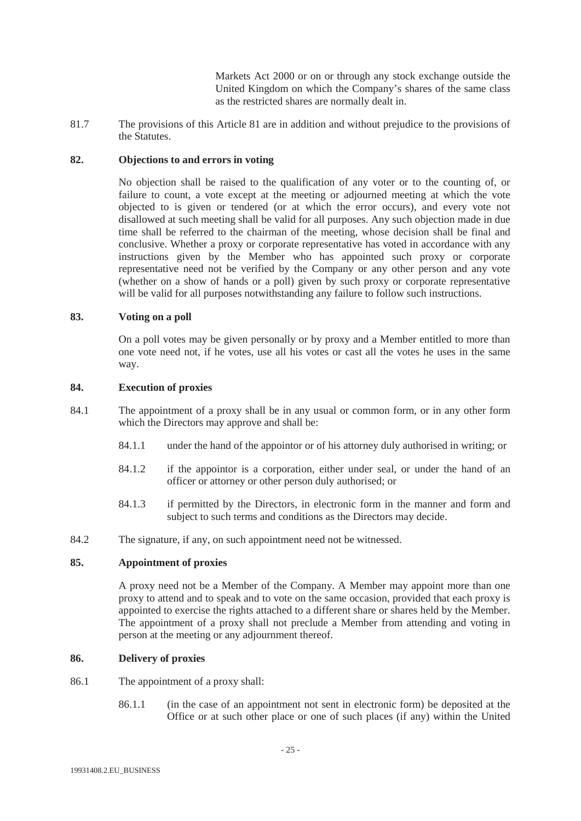Markets Act 2000 or on or through any stock exchange outside the United Kingdom on which the Company's shares of the same class as the restricted shares are normally dealt in.

81.7 The provisions of this Article 81 are in addition and without prejudice to the provisions of the Statutes.

# **82. Objections to and errors in voting**

No objection shall be raised to the qualification of any voter or to the counting of, or failure to count, a vote except at the meeting or adjourned meeting at which the vote objected to is given or tendered (or at which the error occurs), and every vote not disallowed at such meeting shall be valid for all purposes. Any such objection made in due time shall be referred to the chairman of the meeting, whose decision shall be final and conclusive. Whether a proxy or corporate representative has voted in accordance with any instructions given by the Member who has appointed such proxy or corporate representative need not be verified by the Company or any other person and any vote (whether on a show of hands or a poll) given by such proxy or corporate representative will be valid for all purposes notwithstanding any failure to follow such instructions.

## **83. Voting on a poll**

On a poll votes may be given personally or by proxy and a Member entitled to more than one vote need not, if he votes, use all his votes or cast all the votes he uses in the same way.

## **84. Execution of proxies**

- 84.1 The appointment of a proxy shall be in any usual or common form, or in any other form which the Directors may approve and shall be:
	- 84.1.1 under the hand of the appointor or of his attorney duly authorised in writing; or
	- 84.1.2 if the appointor is a corporation, either under seal, or under the hand of an officer or attorney or other person duly authorised; or
	- 84.1.3 if permitted by the Directors, in electronic form in the manner and form and subject to such terms and conditions as the Directors may decide.
- 84.2 The signature, if any, on such appointment need not be witnessed.

# **85. Appointment of proxies**

A proxy need not be a Member of the Company. A Member may appoint more than one proxy to attend and to speak and to vote on the same occasion, provided that each proxy is appointed to exercise the rights attached to a different share or shares held by the Member. The appointment of a proxy shall not preclude a Member from attending and voting in person at the meeting or any adjournment thereof.

# **86. Delivery of proxies**

- 86.1 The appointment of a proxy shall:
	- 86.1.1 (in the case of an appointment not sent in electronic form) be deposited at the Office or at such other place or one of such places (if any) within the United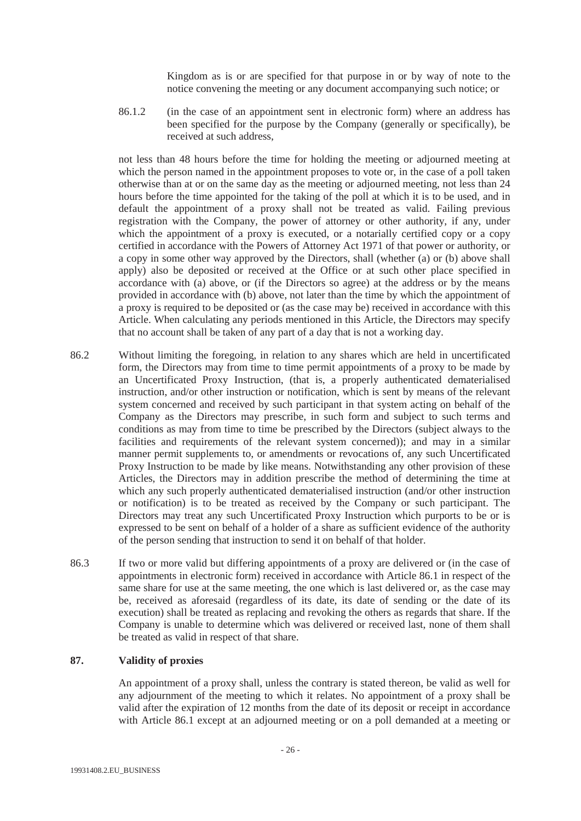Kingdom as is or are specified for that purpose in or by way of note to the notice convening the meeting or any document accompanying such notice; or

86.1.2 (in the case of an appointment sent in electronic form) where an address has been specified for the purpose by the Company (generally or specifically), be received at such address,

not less than 48 hours before the time for holding the meeting or adjourned meeting at which the person named in the appointment proposes to vote or, in the case of a poll taken otherwise than at or on the same day as the meeting or adjourned meeting, not less than 24 hours before the time appointed for the taking of the poll at which it is to be used, and in default the appointment of a proxy shall not be treated as valid. Failing previous registration with the Company, the power of attorney or other authority, if any, under which the appointment of a proxy is executed, or a notarially certified copy or a copy certified in accordance with the Powers of Attorney Act 1971 of that power or authority, or a copy in some other way approved by the Directors, shall (whether (a) or (b) above shall apply) also be deposited or received at the Office or at such other place specified in accordance with (a) above, or (if the Directors so agree) at the address or by the means provided in accordance with (b) above, not later than the time by which the appointment of a proxy is required to be deposited or (as the case may be) received in accordance with this Article. When calculating any periods mentioned in this Article, the Directors may specify that no account shall be taken of any part of a day that is not a working day.

- 86.2 Without limiting the foregoing, in relation to any shares which are held in uncertificated form, the Directors may from time to time permit appointments of a proxy to be made by an Uncertificated Proxy Instruction, (that is, a properly authenticated dematerialised instruction, and/or other instruction or notification, which is sent by means of the relevant system concerned and received by such participant in that system acting on behalf of the Company as the Directors may prescribe, in such form and subject to such terms and conditions as may from time to time be prescribed by the Directors (subject always to the facilities and requirements of the relevant system concerned)); and may in a similar manner permit supplements to, or amendments or revocations of, any such Uncertificated Proxy Instruction to be made by like means. Notwithstanding any other provision of these Articles, the Directors may in addition prescribe the method of determining the time at which any such properly authenticated dematerialised instruction (and/or other instruction or notification) is to be treated as received by the Company or such participant. The Directors may treat any such Uncertificated Proxy Instruction which purports to be or is expressed to be sent on behalf of a holder of a share as sufficient evidence of the authority of the person sending that instruction to send it on behalf of that holder.
- 86.3 If two or more valid but differing appointments of a proxy are delivered or (in the case of appointments in electronic form) received in accordance with Article 86.1 in respect of the same share for use at the same meeting, the one which is last delivered or, as the case may be, received as aforesaid (regardless of its date, its date of sending or the date of its execution) shall be treated as replacing and revoking the others as regards that share. If the Company is unable to determine which was delivered or received last, none of them shall be treated as valid in respect of that share.

# **87. Validity of proxies**

An appointment of a proxy shall, unless the contrary is stated thereon, be valid as well for any adjournment of the meeting to which it relates. No appointment of a proxy shall be valid after the expiration of 12 months from the date of its deposit or receipt in accordance with Article 86.1 except at an adjourned meeting or on a poll demanded at a meeting or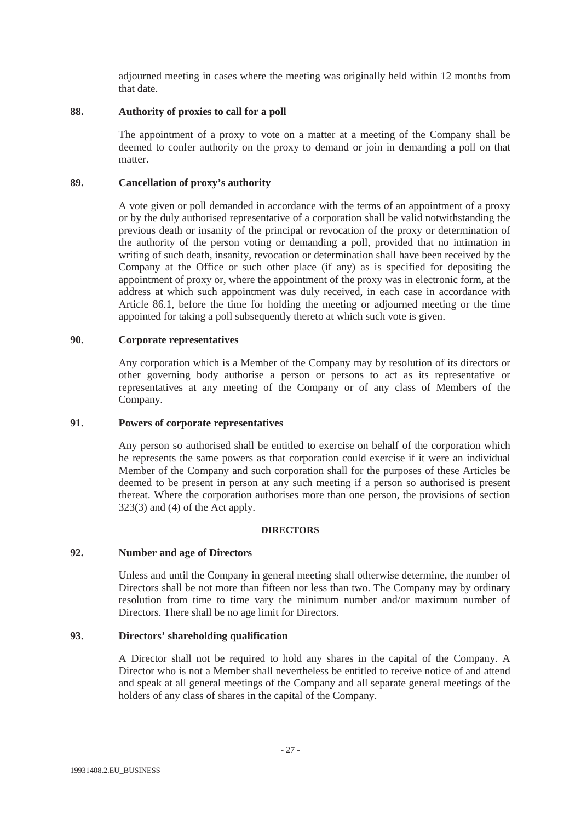adjourned meeting in cases where the meeting was originally held within 12 months from that date.

# **88. Authority of proxies to call for a poll**

The appointment of a proxy to vote on a matter at a meeting of the Company shall be deemed to confer authority on the proxy to demand or join in demanding a poll on that matter.

# **89. Cancellation of proxy's authority**

A vote given or poll demanded in accordance with the terms of an appointment of a proxy or by the duly authorised representative of a corporation shall be valid notwithstanding the previous death or insanity of the principal or revocation of the proxy or determination of the authority of the person voting or demanding a poll, provided that no intimation in writing of such death, insanity, revocation or determination shall have been received by the Company at the Office or such other place (if any) as is specified for depositing the appointment of proxy or, where the appointment of the proxy was in electronic form, at the address at which such appointment was duly received, in each case in accordance with Article 86.1, before the time for holding the meeting or adjourned meeting or the time appointed for taking a poll subsequently thereto at which such vote is given.

# **90. Corporate representatives**

Any corporation which is a Member of the Company may by resolution of its directors or other governing body authorise a person or persons to act as its representative or representatives at any meeting of the Company or of any class of Members of the Company.

## **91. Powers of corporate representatives**

Any person so authorised shall be entitled to exercise on behalf of the corporation which he represents the same powers as that corporation could exercise if it were an individual Member of the Company and such corporation shall for the purposes of these Articles be deemed to be present in person at any such meeting if a person so authorised is present thereat. Where the corporation authorises more than one person, the provisions of section 323(3) and (4) of the Act apply.

#### **DIRECTORS**

# **92. Number and age of Directors**

Unless and until the Company in general meeting shall otherwise determine, the number of Directors shall be not more than fifteen nor less than two. The Company may by ordinary resolution from time to time vary the minimum number and/or maximum number of Directors. There shall be no age limit for Directors.

# **93. Directors' shareholding qualification**

A Director shall not be required to hold any shares in the capital of the Company. A Director who is not a Member shall nevertheless be entitled to receive notice of and attend and speak at all general meetings of the Company and all separate general meetings of the holders of any class of shares in the capital of the Company.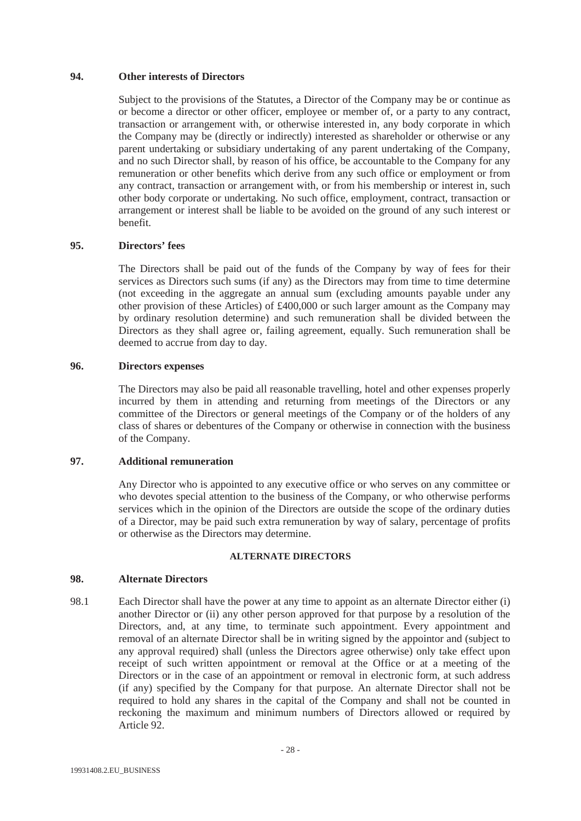#### **94. Other interests of Directors**

Subject to the provisions of the Statutes, a Director of the Company may be or continue as or become a director or other officer, employee or member of, or a party to any contract, transaction or arrangement with, or otherwise interested in, any body corporate in which the Company may be (directly or indirectly) interested as shareholder or otherwise or any parent undertaking or subsidiary undertaking of any parent undertaking of the Company, and no such Director shall, by reason of his office, be accountable to the Company for any remuneration or other benefits which derive from any such office or employment or from any contract, transaction or arrangement with, or from his membership or interest in, such other body corporate or undertaking. No such office, employment, contract, transaction or arrangement or interest shall be liable to be avoided on the ground of any such interest or benefit.

## **95. Directors' fees**

The Directors shall be paid out of the funds of the Company by way of fees for their services as Directors such sums (if any) as the Directors may from time to time determine (not exceeding in the aggregate an annual sum (excluding amounts payable under any other provision of these Articles) of £400,000 or such larger amount as the Company may by ordinary resolution determine) and such remuneration shall be divided between the Directors as they shall agree or, failing agreement, equally. Such remuneration shall be deemed to accrue from day to day.

### **96. Directors expenses**

The Directors may also be paid all reasonable travelling, hotel and other expenses properly incurred by them in attending and returning from meetings of the Directors or any committee of the Directors or general meetings of the Company or of the holders of any class of shares or debentures of the Company or otherwise in connection with the business of the Company.

## **97. Additional remuneration**

Any Director who is appointed to any executive office or who serves on any committee or who devotes special attention to the business of the Company, or who otherwise performs services which in the opinion of the Directors are outside the scope of the ordinary duties of a Director, may be paid such extra remuneration by way of salary, percentage of profits or otherwise as the Directors may determine.

#### **ALTERNATE DIRECTORS**

#### **98. Alternate Directors**

98.1 Each Director shall have the power at any time to appoint as an alternate Director either (i) another Director or (ii) any other person approved for that purpose by a resolution of the Directors, and, at any time, to terminate such appointment. Every appointment and removal of an alternate Director shall be in writing signed by the appointor and (subject to any approval required) shall (unless the Directors agree otherwise) only take effect upon receipt of such written appointment or removal at the Office or at a meeting of the Directors or in the case of an appointment or removal in electronic form, at such address (if any) specified by the Company for that purpose. An alternate Director shall not be required to hold any shares in the capital of the Company and shall not be counted in reckoning the maximum and minimum numbers of Directors allowed or required by Article 92.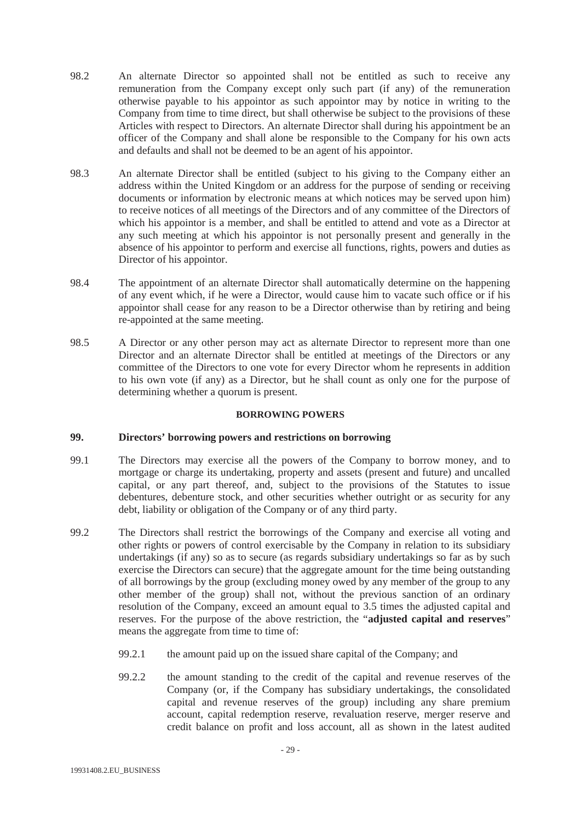- 98.2 An alternate Director so appointed shall not be entitled as such to receive any remuneration from the Company except only such part (if any) of the remuneration otherwise payable to his appointor as such appointor may by notice in writing to the Company from time to time direct, but shall otherwise be subject to the provisions of these Articles with respect to Directors. An alternate Director shall during his appointment be an officer of the Company and shall alone be responsible to the Company for his own acts and defaults and shall not be deemed to be an agent of his appointor.
- 98.3 An alternate Director shall be entitled (subject to his giving to the Company either an address within the United Kingdom or an address for the purpose of sending or receiving documents or information by electronic means at which notices may be served upon him) to receive notices of all meetings of the Directors and of any committee of the Directors of which his appointor is a member, and shall be entitled to attend and vote as a Director at any such meeting at which his appointor is not personally present and generally in the absence of his appointor to perform and exercise all functions, rights, powers and duties as Director of his appointor.
- 98.4 The appointment of an alternate Director shall automatically determine on the happening of any event which, if he were a Director, would cause him to vacate such office or if his appointor shall cease for any reason to be a Director otherwise than by retiring and being re-appointed at the same meeting.
- 98.5 A Director or any other person may act as alternate Director to represent more than one Director and an alternate Director shall be entitled at meetings of the Directors or any committee of the Directors to one vote for every Director whom he represents in addition to his own vote (if any) as a Director, but he shall count as only one for the purpose of determining whether a quorum is present.

## **BORROWING POWERS**

# **99. Directors' borrowing powers and restrictions on borrowing**

- 99.1 The Directors may exercise all the powers of the Company to borrow money, and to mortgage or charge its undertaking, property and assets (present and future) and uncalled capital, or any part thereof, and, subject to the provisions of the Statutes to issue debentures, debenture stock, and other securities whether outright or as security for any debt, liability or obligation of the Company or of any third party.
- 99.2 The Directors shall restrict the borrowings of the Company and exercise all voting and other rights or powers of control exercisable by the Company in relation to its subsidiary undertakings (if any) so as to secure (as regards subsidiary undertakings so far as by such exercise the Directors can secure) that the aggregate amount for the time being outstanding of all borrowings by the group (excluding money owed by any member of the group to any other member of the group) shall not, without the previous sanction of an ordinary resolution of the Company, exceed an amount equal to 3.5 times the adjusted capital and reserves. For the purpose of the above restriction, the "**adjusted capital and reserves**" means the aggregate from time to time of:
	- 99.2.1 the amount paid up on the issued share capital of the Company; and
	- 99.2.2 the amount standing to the credit of the capital and revenue reserves of the Company (or, if the Company has subsidiary undertakings, the consolidated capital and revenue reserves of the group) including any share premium account, capital redemption reserve, revaluation reserve, merger reserve and credit balance on profit and loss account, all as shown in the latest audited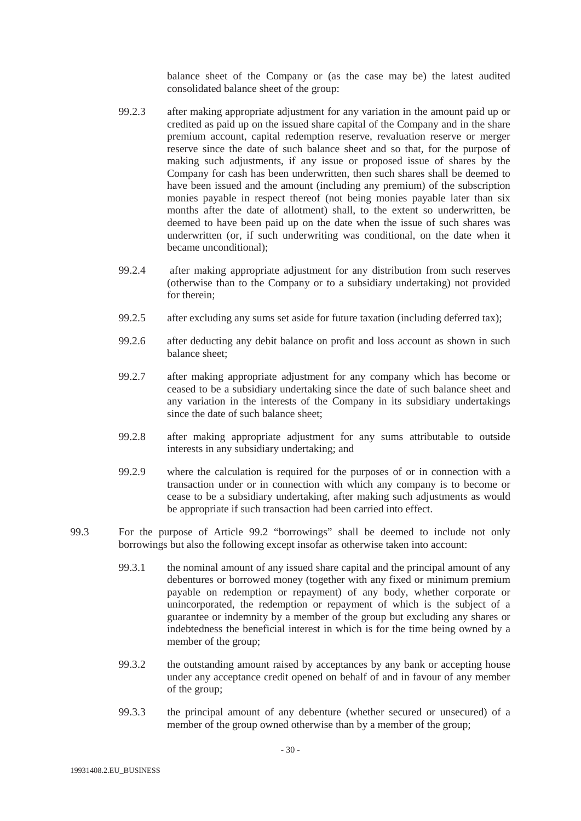balance sheet of the Company or (as the case may be) the latest audited consolidated balance sheet of the group:

- 99.2.3 after making appropriate adjustment for any variation in the amount paid up or credited as paid up on the issued share capital of the Company and in the share premium account, capital redemption reserve, revaluation reserve or merger reserve since the date of such balance sheet and so that, for the purpose of making such adjustments, if any issue or proposed issue of shares by the Company for cash has been underwritten, then such shares shall be deemed to have been issued and the amount (including any premium) of the subscription monies payable in respect thereof (not being monies payable later than six months after the date of allotment) shall, to the extent so underwritten, be deemed to have been paid up on the date when the issue of such shares was underwritten (or, if such underwriting was conditional, on the date when it became unconditional);
- 99.2.4 after making appropriate adjustment for any distribution from such reserves (otherwise than to the Company or to a subsidiary undertaking) not provided for therein;
- 99.2.5 after excluding any sums set aside for future taxation (including deferred tax);
- 99.2.6 after deducting any debit balance on profit and loss account as shown in such balance sheet;
- 99.2.7 after making appropriate adjustment for any company which has become or ceased to be a subsidiary undertaking since the date of such balance sheet and any variation in the interests of the Company in its subsidiary undertakings since the date of such balance sheet;
- 99.2.8 after making appropriate adjustment for any sums attributable to outside interests in any subsidiary undertaking; and
- 99.2.9 where the calculation is required for the purposes of or in connection with a transaction under or in connection with which any company is to become or cease to be a subsidiary undertaking, after making such adjustments as would be appropriate if such transaction had been carried into effect.
- 99.3 For the purpose of Article 99.2 "borrowings" shall be deemed to include not only borrowings but also the following except insofar as otherwise taken into account:
	- 99.3.1 the nominal amount of any issued share capital and the principal amount of any debentures or borrowed money (together with any fixed or minimum premium payable on redemption or repayment) of any body, whether corporate or unincorporated, the redemption or repayment of which is the subject of a guarantee or indemnity by a member of the group but excluding any shares or indebtedness the beneficial interest in which is for the time being owned by a member of the group;
	- 99.3.2 the outstanding amount raised by acceptances by any bank or accepting house under any acceptance credit opened on behalf of and in favour of any member of the group;
	- 99.3.3 the principal amount of any debenture (whether secured or unsecured) of a member of the group owned otherwise than by a member of the group;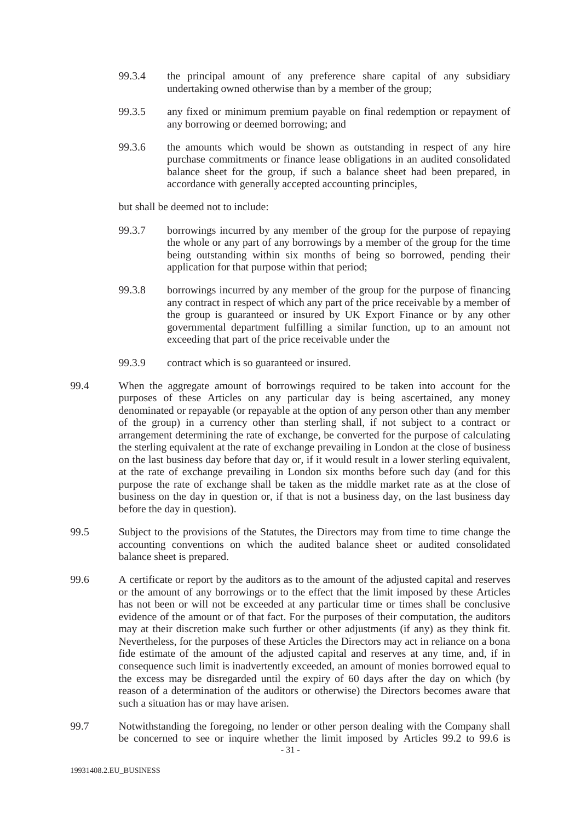- 99.3.4 the principal amount of any preference share capital of any subsidiary undertaking owned otherwise than by a member of the group;
- 99.3.5 any fixed or minimum premium payable on final redemption or repayment of any borrowing or deemed borrowing; and
- 99.3.6 the amounts which would be shown as outstanding in respect of any hire purchase commitments or finance lease obligations in an audited consolidated balance sheet for the group, if such a balance sheet had been prepared, in accordance with generally accepted accounting principles,

but shall be deemed not to include:

- 99.3.7 borrowings incurred by any member of the group for the purpose of repaying the whole or any part of any borrowings by a member of the group for the time being outstanding within six months of being so borrowed, pending their application for that purpose within that period;
- 99.3.8 borrowings incurred by any member of the group for the purpose of financing any contract in respect of which any part of the price receivable by a member of the group is guaranteed or insured by UK Export Finance or by any other governmental department fulfilling a similar function, up to an amount not exceeding that part of the price receivable under the
- 99.3.9 contract which is so guaranteed or insured.
- 99.4 When the aggregate amount of borrowings required to be taken into account for the purposes of these Articles on any particular day is being ascertained, any money denominated or repayable (or repayable at the option of any person other than any member of the group) in a currency other than sterling shall, if not subject to a contract or arrangement determining the rate of exchange, be converted for the purpose of calculating the sterling equivalent at the rate of exchange prevailing in London at the close of business on the last business day before that day or, if it would result in a lower sterling equivalent, at the rate of exchange prevailing in London six months before such day (and for this purpose the rate of exchange shall be taken as the middle market rate as at the close of business on the day in question or, if that is not a business day, on the last business day before the day in question).
- 99.5 Subject to the provisions of the Statutes, the Directors may from time to time change the accounting conventions on which the audited balance sheet or audited consolidated balance sheet is prepared.
- 99.6 A certificate or report by the auditors as to the amount of the adjusted capital and reserves or the amount of any borrowings or to the effect that the limit imposed by these Articles has not been or will not be exceeded at any particular time or times shall be conclusive evidence of the amount or of that fact. For the purposes of their computation, the auditors may at their discretion make such further or other adjustments (if any) as they think fit. Nevertheless, for the purposes of these Articles the Directors may act in reliance on a bona fide estimate of the amount of the adjusted capital and reserves at any time, and, if in consequence such limit is inadvertently exceeded, an amount of monies borrowed equal to the excess may be disregarded until the expiry of 60 days after the day on which (by reason of a determination of the auditors or otherwise) the Directors becomes aware that such a situation has or may have arisen.
- 99.7 Notwithstanding the foregoing, no lender or other person dealing with the Company shall be concerned to see or inquire whether the limit imposed by Articles 99.2 to 99.6 is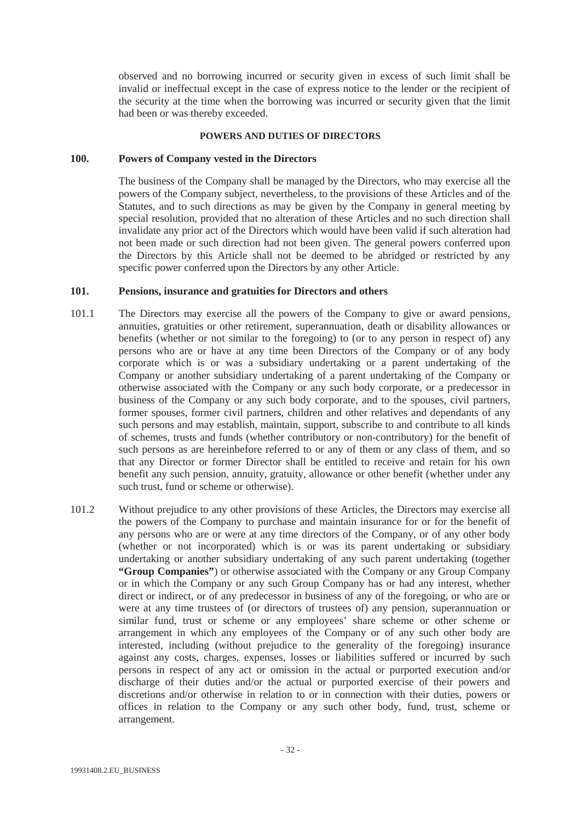observed and no borrowing incurred or security given in excess of such limit shall be invalid or ineffectual except in the case of express notice to the lender or the recipient of the security at the time when the borrowing was incurred or security given that the limit had been or was thereby exceeded.

## **POWERS AND DUTIES OF DIRECTORS**

# **100. Powers of Company vested in the Directors**

The business of the Company shall be managed by the Directors, who may exercise all the powers of the Company subject, nevertheless, to the provisions of these Articles and of the Statutes, and to such directions as may be given by the Company in general meeting by special resolution, provided that no alteration of these Articles and no such direction shall invalidate any prior act of the Directors which would have been valid if such alteration had not been made or such direction had not been given. The general powers conferred upon the Directors by this Article shall not be deemed to be abridged or restricted by any specific power conferred upon the Directors by any other Article.

# **101. Pensions, insurance and gratuities for Directors and others**

- 101.1 The Directors may exercise all the powers of the Company to give or award pensions, annuities, gratuities or other retirement, superannuation, death or disability allowances or benefits (whether or not similar to the foregoing) to (or to any person in respect of) any persons who are or have at any time been Directors of the Company or of any body corporate which is or was a subsidiary undertaking or a parent undertaking of the Company or another subsidiary undertaking of a parent undertaking of the Company or otherwise associated with the Company or any such body corporate, or a predecessor in business of the Company or any such body corporate, and to the spouses, civil partners, former spouses, former civil partners, children and other relatives and dependants of any such persons and may establish, maintain, support, subscribe to and contribute to all kinds of schemes, trusts and funds (whether contributory or non-contributory) for the benefit of such persons as are hereinbefore referred to or any of them or any class of them, and so that any Director or former Director shall be entitled to receive and retain for his own benefit any such pension, annuity, gratuity, allowance or other benefit (whether under any such trust, fund or scheme or otherwise).
- 101.2 Without prejudice to any other provisions of these Articles, the Directors may exercise all the powers of the Company to purchase and maintain insurance for or for the benefit of any persons who are or were at any time directors of the Company, or of any other body (whether or not incorporated) which is or was its parent undertaking or subsidiary undertaking or another subsidiary undertaking of any such parent undertaking (together **"Group Companies"**) or otherwise associated with the Company or any Group Company or in which the Company or any such Group Company has or had any interest, whether direct or indirect, or of any predecessor in business of any of the foregoing, or who are or were at any time trustees of (or directors of trustees of) any pension, superannuation or similar fund, trust or scheme or any employees' share scheme or other scheme or arrangement in which any employees of the Company or of any such other body are interested, including (without prejudice to the generality of the foregoing) insurance against any costs, charges, expenses, losses or liabilities suffered or incurred by such persons in respect of any act or omission in the actual or purported execution and/or discharge of their duties and/or the actual or purported exercise of their powers and discretions and/or otherwise in relation to or in connection with their duties, powers or offices in relation to the Company or any such other body, fund, trust, scheme or arrangement.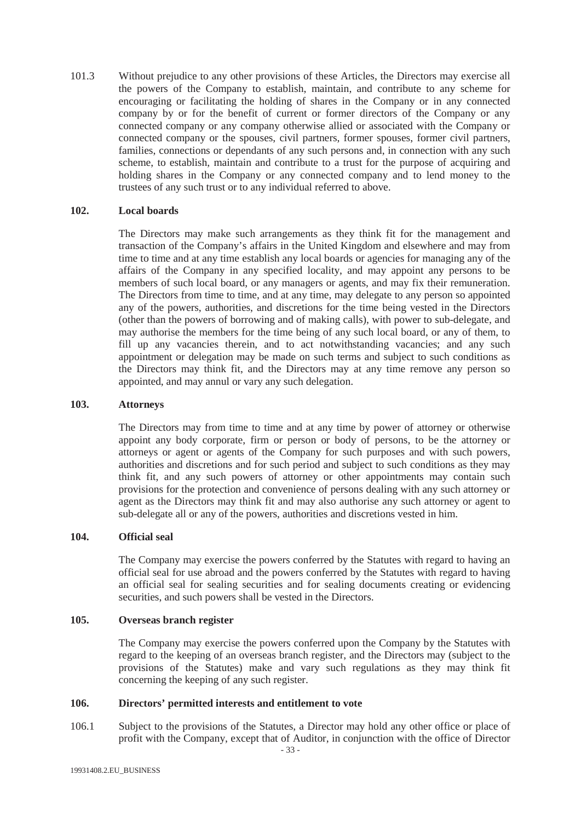101.3 Without prejudice to any other provisions of these Articles, the Directors may exercise all the powers of the Company to establish, maintain, and contribute to any scheme for encouraging or facilitating the holding of shares in the Company or in any connected company by or for the benefit of current or former directors of the Company or any connected company or any company otherwise allied or associated with the Company or connected company or the spouses, civil partners, former spouses, former civil partners, families, connections or dependants of any such persons and, in connection with any such scheme, to establish, maintain and contribute to a trust for the purpose of acquiring and holding shares in the Company or any connected company and to lend money to the trustees of any such trust or to any individual referred to above.

# **102. Local boards**

The Directors may make such arrangements as they think fit for the management and transaction of the Company's affairs in the United Kingdom and elsewhere and may from time to time and at any time establish any local boards or agencies for managing any of the affairs of the Company in any specified locality, and may appoint any persons to be members of such local board, or any managers or agents, and may fix their remuneration. The Directors from time to time, and at any time, may delegate to any person so appointed any of the powers, authorities, and discretions for the time being vested in the Directors (other than the powers of borrowing and of making calls), with power to sub-delegate, and may authorise the members for the time being of any such local board, or any of them, to fill up any vacancies therein, and to act notwithstanding vacancies; and any such appointment or delegation may be made on such terms and subject to such conditions as the Directors may think fit, and the Directors may at any time remove any person so appointed, and may annul or vary any such delegation.

## **103. Attorneys**

The Directors may from time to time and at any time by power of attorney or otherwise appoint any body corporate, firm or person or body of persons, to be the attorney or attorneys or agent or agents of the Company for such purposes and with such powers, authorities and discretions and for such period and subject to such conditions as they may think fit, and any such powers of attorney or other appointments may contain such provisions for the protection and convenience of persons dealing with any such attorney or agent as the Directors may think fit and may also authorise any such attorney or agent to sub-delegate all or any of the powers, authorities and discretions vested in him.

# **104. Official seal**

The Company may exercise the powers conferred by the Statutes with regard to having an official seal for use abroad and the powers conferred by the Statutes with regard to having an official seal for sealing securities and for sealing documents creating or evidencing securities, and such powers shall be vested in the Directors.

#### **105. Overseas branch register**

The Company may exercise the powers conferred upon the Company by the Statutes with regard to the keeping of an overseas branch register, and the Directors may (subject to the provisions of the Statutes) make and vary such regulations as they may think fit concerning the keeping of any such register.

## **106. Directors' permitted interests and entitlement to vote**

106.1 Subject to the provisions of the Statutes, a Director may hold any other office or place of profit with the Company, except that of Auditor, in conjunction with the office of Director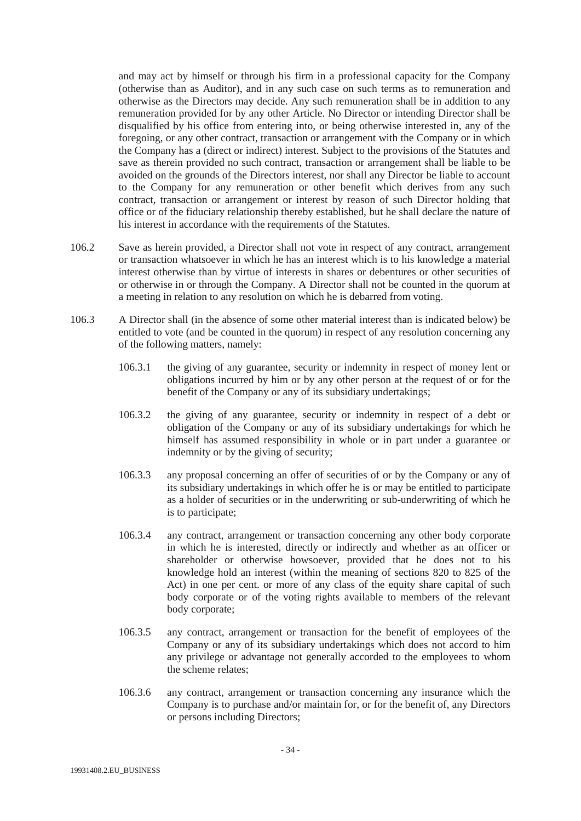and may act by himself or through his firm in a professional capacity for the Company (otherwise than as Auditor), and in any such case on such terms as to remuneration and otherwise as the Directors may decide. Any such remuneration shall be in addition to any remuneration provided for by any other Article. No Director or intending Director shall be disqualified by his office from entering into, or being otherwise interested in, any of the foregoing, or any other contract, transaction or arrangement with the Company or in which the Company has a (direct or indirect) interest. Subject to the provisions of the Statutes and save as therein provided no such contract, transaction or arrangement shall be liable to be avoided on the grounds of the Directors interest, nor shall any Director be liable to account to the Company for any remuneration or other benefit which derives from any such contract, transaction or arrangement or interest by reason of such Director holding that office or of the fiduciary relationship thereby established, but he shall declare the nature of his interest in accordance with the requirements of the Statutes.

- 106.2 Save as herein provided, a Director shall not vote in respect of any contract, arrangement or transaction whatsoever in which he has an interest which is to his knowledge a material interest otherwise than by virtue of interests in shares or debentures or other securities of or otherwise in or through the Company. A Director shall not be counted in the quorum at a meeting in relation to any resolution on which he is debarred from voting.
- 106.3 A Director shall (in the absence of some other material interest than is indicated below) be entitled to vote (and be counted in the quorum) in respect of any resolution concerning any of the following matters, namely:
	- 106.3.1 the giving of any guarantee, security or indemnity in respect of money lent or obligations incurred by him or by any other person at the request of or for the benefit of the Company or any of its subsidiary undertakings;
	- 106.3.2 the giving of any guarantee, security or indemnity in respect of a debt or obligation of the Company or any of its subsidiary undertakings for which he himself has assumed responsibility in whole or in part under a guarantee or indemnity or by the giving of security;
	- 106.3.3 any proposal concerning an offer of securities of or by the Company or any of its subsidiary undertakings in which offer he is or may be entitled to participate as a holder of securities or in the underwriting or sub-underwriting of which he is to participate;
	- 106.3.4 any contract, arrangement or transaction concerning any other body corporate in which he is interested, directly or indirectly and whether as an officer or shareholder or otherwise howsoever, provided that he does not to his knowledge hold an interest (within the meaning of sections 820 to 825 of the Act) in one per cent. or more of any class of the equity share capital of such body corporate or of the voting rights available to members of the relevant body corporate;
	- 106.3.5 any contract, arrangement or transaction for the benefit of employees of the Company or any of its subsidiary undertakings which does not accord to him any privilege or advantage not generally accorded to the employees to whom the scheme relates;
	- 106.3.6 any contract, arrangement or transaction concerning any insurance which the Company is to purchase and/or maintain for, or for the benefit of, any Directors or persons including Directors;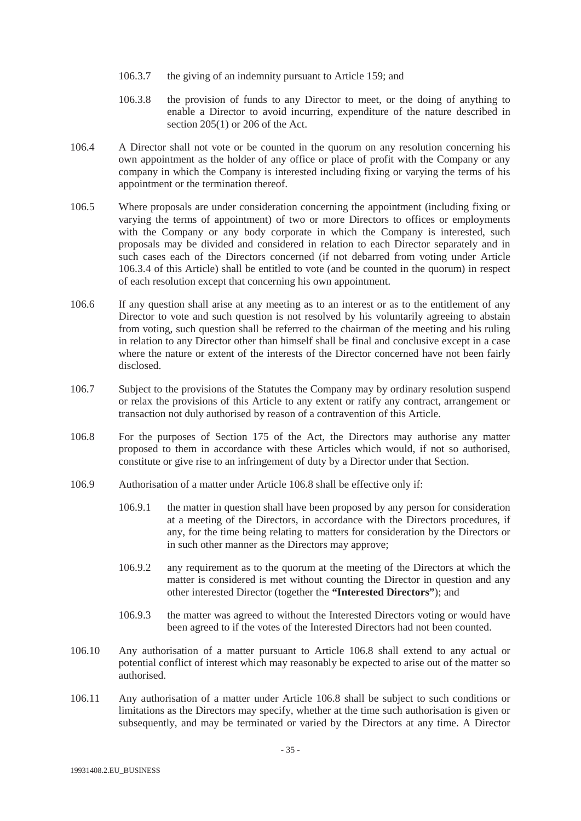- 106.3.7 the giving of an indemnity pursuant to Article 159; and
- 106.3.8 the provision of funds to any Director to meet, or the doing of anything to enable a Director to avoid incurring, expenditure of the nature described in section 205(1) or 206 of the Act.
- 106.4 A Director shall not vote or be counted in the quorum on any resolution concerning his own appointment as the holder of any office or place of profit with the Company or any company in which the Company is interested including fixing or varying the terms of his appointment or the termination thereof.
- 106.5 Where proposals are under consideration concerning the appointment (including fixing or varying the terms of appointment) of two or more Directors to offices or employments with the Company or any body corporate in which the Company is interested, such proposals may be divided and considered in relation to each Director separately and in such cases each of the Directors concerned (if not debarred from voting under Article 106.3.4 of this Article) shall be entitled to vote (and be counted in the quorum) in respect of each resolution except that concerning his own appointment.
- 106.6 If any question shall arise at any meeting as to an interest or as to the entitlement of any Director to vote and such question is not resolved by his voluntarily agreeing to abstain from voting, such question shall be referred to the chairman of the meeting and his ruling in relation to any Director other than himself shall be final and conclusive except in a case where the nature or extent of the interests of the Director concerned have not been fairly disclosed.
- 106.7 Subject to the provisions of the Statutes the Company may by ordinary resolution suspend or relax the provisions of this Article to any extent or ratify any contract, arrangement or transaction not duly authorised by reason of a contravention of this Article.
- 106.8 For the purposes of Section 175 of the Act, the Directors may authorise any matter proposed to them in accordance with these Articles which would, if not so authorised, constitute or give rise to an infringement of duty by a Director under that Section.
- 106.9 Authorisation of a matter under Article 106.8 shall be effective only if:
	- 106.9.1 the matter in question shall have been proposed by any person for consideration at a meeting of the Directors, in accordance with the Directors procedures, if any, for the time being relating to matters for consideration by the Directors or in such other manner as the Directors may approve;
	- 106.9.2 any requirement as to the quorum at the meeting of the Directors at which the matter is considered is met without counting the Director in question and any other interested Director (together the **"Interested Directors"**); and
	- 106.9.3 the matter was agreed to without the Interested Directors voting or would have been agreed to if the votes of the Interested Directors had not been counted.
- 106.10 Any authorisation of a matter pursuant to Article 106.8 shall extend to any actual or potential conflict of interest which may reasonably be expected to arise out of the matter so authorised.
- 106.11 Any authorisation of a matter under Article 106.8 shall be subject to such conditions or limitations as the Directors may specify, whether at the time such authorisation is given or subsequently, and may be terminated or varied by the Directors at any time. A Director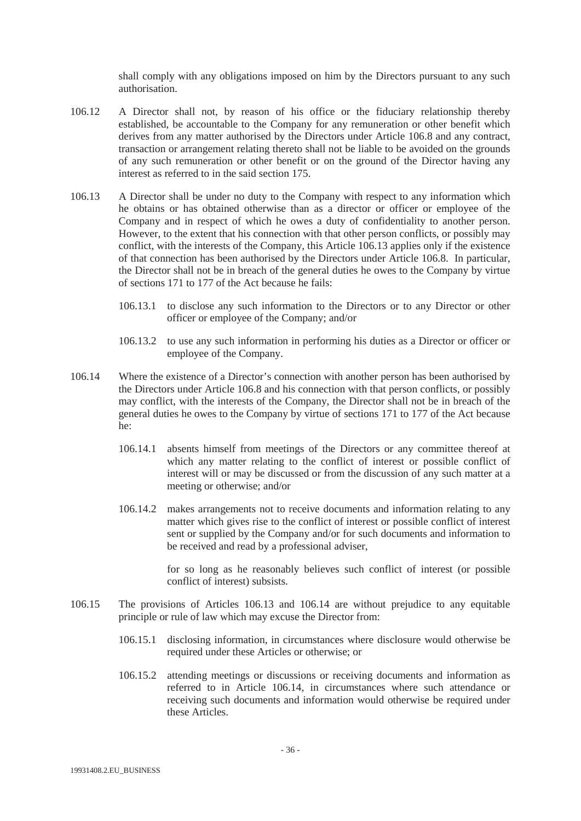shall comply with any obligations imposed on him by the Directors pursuant to any such authorisation.

- 106.12 A Director shall not, by reason of his office or the fiduciary relationship thereby established, be accountable to the Company for any remuneration or other benefit which derives from any matter authorised by the Directors under Article 106.8 and any contract, transaction or arrangement relating thereto shall not be liable to be avoided on the grounds of any such remuneration or other benefit or on the ground of the Director having any interest as referred to in the said section 175.
- 106.13 A Director shall be under no duty to the Company with respect to any information which he obtains or has obtained otherwise than as a director or officer or employee of the Company and in respect of which he owes a duty of confidentiality to another person. However, to the extent that his connection with that other person conflicts, or possibly may conflict, with the interests of the Company, this Article 106.13 applies only if the existence of that connection has been authorised by the Directors under Article 106.8. In particular, the Director shall not be in breach of the general duties he owes to the Company by virtue of sections 171 to 177 of the Act because he fails:
	- 106.13.1 to disclose any such information to the Directors or to any Director or other officer or employee of the Company; and/or
	- 106.13.2 to use any such information in performing his duties as a Director or officer or employee of the Company.
- 106.14 Where the existence of a Director's connection with another person has been authorised by the Directors under Article 106.8 and his connection with that person conflicts, or possibly may conflict, with the interests of the Company, the Director shall not be in breach of the general duties he owes to the Company by virtue of sections 171 to 177 of the Act because he:
	- 106.14.1 absents himself from meetings of the Directors or any committee thereof at which any matter relating to the conflict of interest or possible conflict of interest will or may be discussed or from the discussion of any such matter at a meeting or otherwise; and/or
	- 106.14.2 makes arrangements not to receive documents and information relating to any matter which gives rise to the conflict of interest or possible conflict of interest sent or supplied by the Company and/or for such documents and information to be received and read by a professional adviser,

for so long as he reasonably believes such conflict of interest (or possible conflict of interest) subsists.

- 106.15 The provisions of Articles 106.13 and 106.14 are without prejudice to any equitable principle or rule of law which may excuse the Director from:
	- 106.15.1 disclosing information, in circumstances where disclosure would otherwise be required under these Articles or otherwise; or
	- 106.15.2 attending meetings or discussions or receiving documents and information as referred to in Article 106.14, in circumstances where such attendance or receiving such documents and information would otherwise be required under these Articles.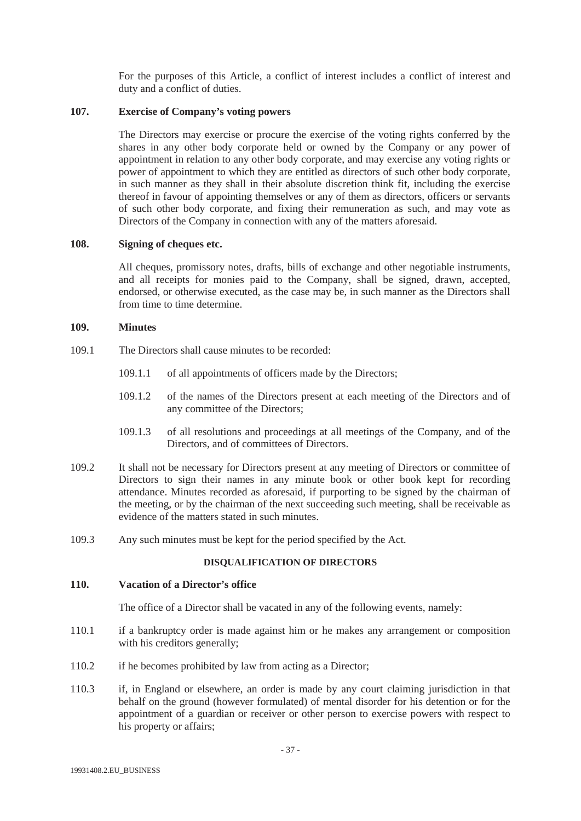For the purposes of this Article, a conflict of interest includes a conflict of interest and duty and a conflict of duties.

# **107. Exercise of Company's voting powers**

The Directors may exercise or procure the exercise of the voting rights conferred by the shares in any other body corporate held or owned by the Company or any power of appointment in relation to any other body corporate, and may exercise any voting rights or power of appointment to which they are entitled as directors of such other body corporate, in such manner as they shall in their absolute discretion think fit, including the exercise thereof in favour of appointing themselves or any of them as directors, officers or servants of such other body corporate, and fixing their remuneration as such, and may vote as Directors of the Company in connection with any of the matters aforesaid.

# **108. Signing of cheques etc.**

All cheques, promissory notes, drafts, bills of exchange and other negotiable instruments, and all receipts for monies paid to the Company, shall be signed, drawn, accepted, endorsed, or otherwise executed, as the case may be, in such manner as the Directors shall from time to time determine.

# **109. Minutes**

- 109.1 The Directors shall cause minutes to be recorded:
	- 109.1.1 of all appointments of officers made by the Directors;
	- 109.1.2 of the names of the Directors present at each meeting of the Directors and of any committee of the Directors;
	- 109.1.3 of all resolutions and proceedings at all meetings of the Company, and of the Directors, and of committees of Directors.
- 109.2 It shall not be necessary for Directors present at any meeting of Directors or committee of Directors to sign their names in any minute book or other book kept for recording attendance. Minutes recorded as aforesaid, if purporting to be signed by the chairman of the meeting, or by the chairman of the next succeeding such meeting, shall be receivable as evidence of the matters stated in such minutes.
- 109.3 Any such minutes must be kept for the period specified by the Act.

## **DISQUALIFICATION OF DIRECTORS**

# **110. Vacation of a Director's office**

The office of a Director shall be vacated in any of the following events, namely:

- 110.1 if a bankruptcy order is made against him or he makes any arrangement or composition with his creditors generally;
- 110.2 if he becomes prohibited by law from acting as a Director;
- 110.3 if, in England or elsewhere, an order is made by any court claiming jurisdiction in that behalf on the ground (however formulated) of mental disorder for his detention or for the appointment of a guardian or receiver or other person to exercise powers with respect to his property or affairs;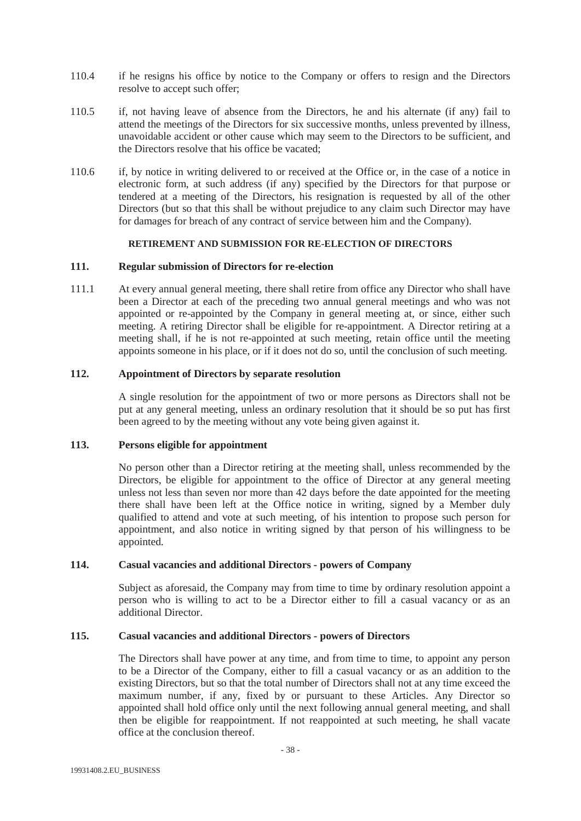- 110.4 if he resigns his office by notice to the Company or offers to resign and the Directors resolve to accept such offer;
- 110.5 if, not having leave of absence from the Directors, he and his alternate (if any) fail to attend the meetings of the Directors for six successive months, unless prevented by illness, unavoidable accident or other cause which may seem to the Directors to be sufficient, and the Directors resolve that his office be vacated;
- 110.6 if, by notice in writing delivered to or received at the Office or, in the case of a notice in electronic form, at such address (if any) specified by the Directors for that purpose or tendered at a meeting of the Directors, his resignation is requested by all of the other Directors (but so that this shall be without prejudice to any claim such Director may have for damages for breach of any contract of service between him and the Company).

# **RETIREMENT AND SUBMISSION FOR RE-ELECTION OF DIRECTORS**

## **111. Regular submission of Directors for re-election**

111.1 At every annual general meeting, there shall retire from office any Director who shall have been a Director at each of the preceding two annual general meetings and who was not appointed or re-appointed by the Company in general meeting at, or since, either such meeting. A retiring Director shall be eligible for re-appointment. A Director retiring at a meeting shall, if he is not re-appointed at such meeting, retain office until the meeting appoints someone in his place, or if it does not do so, until the conclusion of such meeting.

## **112. Appointment of Directors by separate resolution**

A single resolution for the appointment of two or more persons as Directors shall not be put at any general meeting, unless an ordinary resolution that it should be so put has first been agreed to by the meeting without any vote being given against it.

#### **113. Persons eligible for appointment**

No person other than a Director retiring at the meeting shall, unless recommended by the Directors, be eligible for appointment to the office of Director at any general meeting unless not less than seven nor more than 42 days before the date appointed for the meeting there shall have been left at the Office notice in writing, signed by a Member duly qualified to attend and vote at such meeting, of his intention to propose such person for appointment, and also notice in writing signed by that person of his willingness to be appointed.

## **114. Casual vacancies and additional Directors - powers of Company**

Subject as aforesaid, the Company may from time to time by ordinary resolution appoint a person who is willing to act to be a Director either to fill a casual vacancy or as an additional Director.

## **115. Casual vacancies and additional Directors - powers of Directors**

The Directors shall have power at any time, and from time to time, to appoint any person to be a Director of the Company, either to fill a casual vacancy or as an addition to the existing Directors, but so that the total number of Directors shall not at any time exceed the maximum number, if any, fixed by or pursuant to these Articles. Any Director so appointed shall hold office only until the next following annual general meeting, and shall then be eligible for reappointment. If not reappointed at such meeting, he shall vacate office at the conclusion thereof.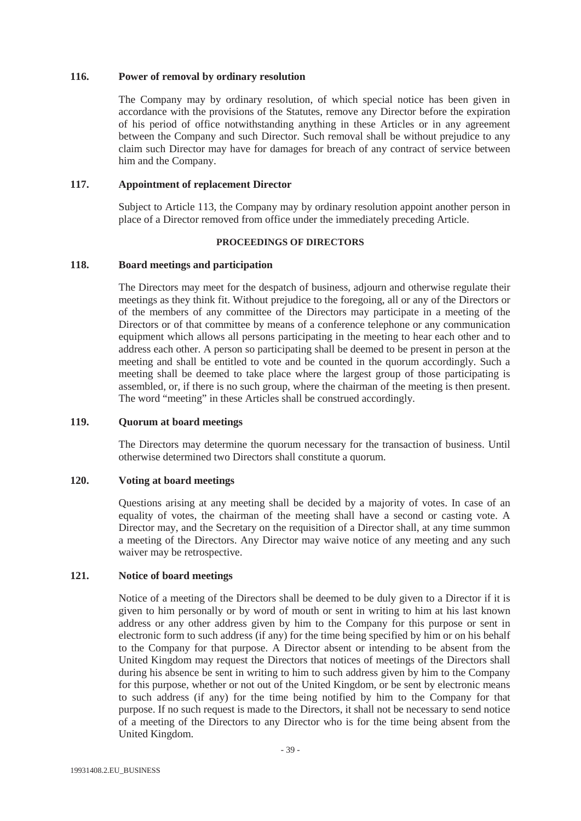## **116. Power of removal by ordinary resolution**

The Company may by ordinary resolution, of which special notice has been given in accordance with the provisions of the Statutes, remove any Director before the expiration of his period of office notwithstanding anything in these Articles or in any agreement between the Company and such Director. Such removal shall be without prejudice to any claim such Director may have for damages for breach of any contract of service between him and the Company.

# **117. Appointment of replacement Director**

Subject to Article 113, the Company may by ordinary resolution appoint another person in place of a Director removed from office under the immediately preceding Article.

# **PROCEEDINGS OF DIRECTORS**

# **118. Board meetings and participation**

The Directors may meet for the despatch of business, adjourn and otherwise regulate their meetings as they think fit. Without prejudice to the foregoing, all or any of the Directors or of the members of any committee of the Directors may participate in a meeting of the Directors or of that committee by means of a conference telephone or any communication equipment which allows all persons participating in the meeting to hear each other and to address each other. A person so participating shall be deemed to be present in person at the meeting and shall be entitled to vote and be counted in the quorum accordingly. Such a meeting shall be deemed to take place where the largest group of those participating is assembled, or, if there is no such group, where the chairman of the meeting is then present. The word "meeting" in these Articles shall be construed accordingly.

# **119. Quorum at board meetings**

The Directors may determine the quorum necessary for the transaction of business. Until otherwise determined two Directors shall constitute a quorum.

# **120. Voting at board meetings**

Questions arising at any meeting shall be decided by a majority of votes. In case of an equality of votes, the chairman of the meeting shall have a second or casting vote. A Director may, and the Secretary on the requisition of a Director shall, at any time summon a meeting of the Directors. Any Director may waive notice of any meeting and any such waiver may be retrospective.

# **121. Notice of board meetings**

Notice of a meeting of the Directors shall be deemed to be duly given to a Director if it is given to him personally or by word of mouth or sent in writing to him at his last known address or any other address given by him to the Company for this purpose or sent in electronic form to such address (if any) for the time being specified by him or on his behalf to the Company for that purpose. A Director absent or intending to be absent from the United Kingdom may request the Directors that notices of meetings of the Directors shall during his absence be sent in writing to him to such address given by him to the Company for this purpose, whether or not out of the United Kingdom, or be sent by electronic means to such address (if any) for the time being notified by him to the Company for that purpose. If no such request is made to the Directors, it shall not be necessary to send notice of a meeting of the Directors to any Director who is for the time being absent from the United Kingdom.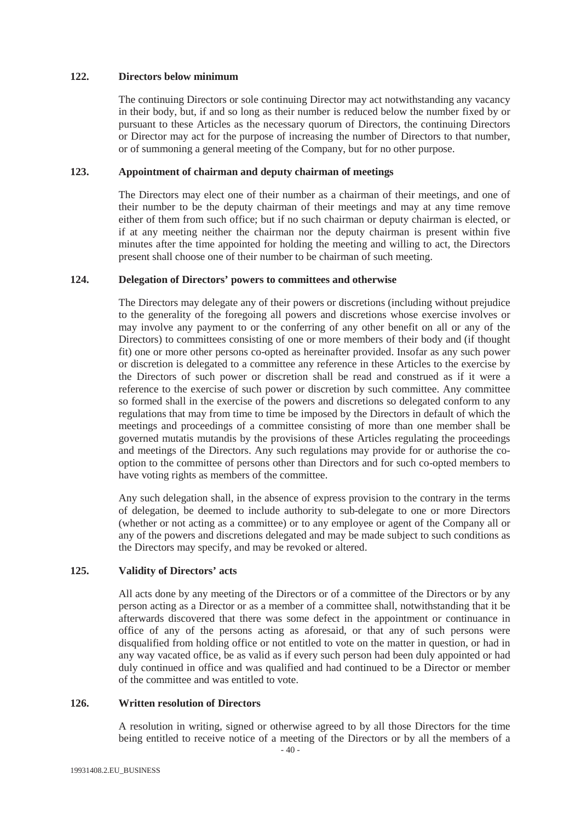#### **122. Directors below minimum**

The continuing Directors or sole continuing Director may act notwithstanding any vacancy in their body, but, if and so long as their number is reduced below the number fixed by or pursuant to these Articles as the necessary quorum of Directors, the continuing Directors or Director may act for the purpose of increasing the number of Directors to that number, or of summoning a general meeting of the Company, but for no other purpose.

# **123. Appointment of chairman and deputy chairman of meetings**

The Directors may elect one of their number as a chairman of their meetings, and one of their number to be the deputy chairman of their meetings and may at any time remove either of them from such office; but if no such chairman or deputy chairman is elected, or if at any meeting neither the chairman nor the deputy chairman is present within five minutes after the time appointed for holding the meeting and willing to act, the Directors present shall choose one of their number to be chairman of such meeting.

# **124. Delegation of Directors' powers to committees and otherwise**

The Directors may delegate any of their powers or discretions (including without prejudice to the generality of the foregoing all powers and discretions whose exercise involves or may involve any payment to or the conferring of any other benefit on all or any of the Directors) to committees consisting of one or more members of their body and (if thought fit) one or more other persons co-opted as hereinafter provided. Insofar as any such power or discretion is delegated to a committee any reference in these Articles to the exercise by the Directors of such power or discretion shall be read and construed as if it were a reference to the exercise of such power or discretion by such committee. Any committee so formed shall in the exercise of the powers and discretions so delegated conform to any regulations that may from time to time be imposed by the Directors in default of which the meetings and proceedings of a committee consisting of more than one member shall be governed mutatis mutandis by the provisions of these Articles regulating the proceedings and meetings of the Directors. Any such regulations may provide for or authorise the cooption to the committee of persons other than Directors and for such co-opted members to have voting rights as members of the committee.

Any such delegation shall, in the absence of express provision to the contrary in the terms of delegation, be deemed to include authority to sub-delegate to one or more Directors (whether or not acting as a committee) or to any employee or agent of the Company all or any of the powers and discretions delegated and may be made subject to such conditions as the Directors may specify, and may be revoked or altered.

# **125. Validity of Directors' acts**

All acts done by any meeting of the Directors or of a committee of the Directors or by any person acting as a Director or as a member of a committee shall, notwithstanding that it be afterwards discovered that there was some defect in the appointment or continuance in office of any of the persons acting as aforesaid, or that any of such persons were disqualified from holding office or not entitled to vote on the matter in question, or had in any way vacated office, be as valid as if every such person had been duly appointed or had duly continued in office and was qualified and had continued to be a Director or member of the committee and was entitled to vote.

#### **126. Written resolution of Directors**

A resolution in writing, signed or otherwise agreed to by all those Directors for the time being entitled to receive notice of a meeting of the Directors or by all the members of a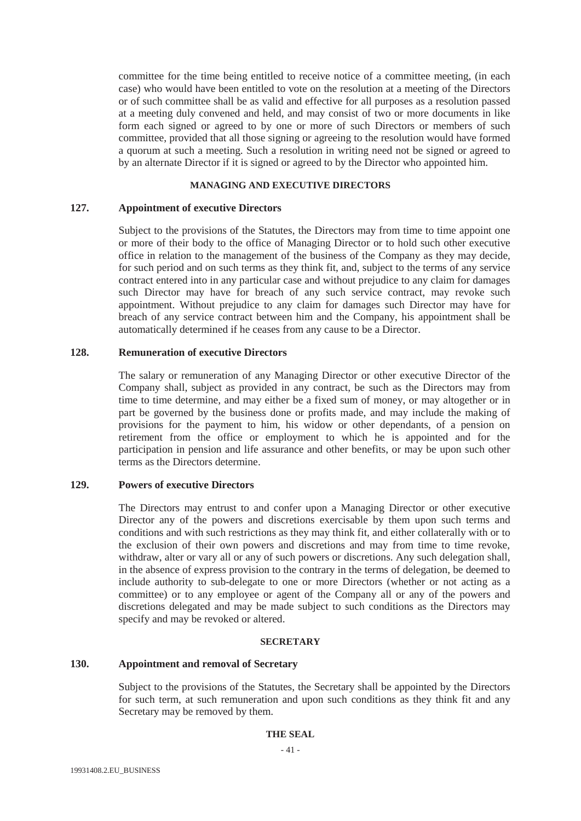committee for the time being entitled to receive notice of a committee meeting, (in each case) who would have been entitled to vote on the resolution at a meeting of the Directors or of such committee shall be as valid and effective for all purposes as a resolution passed at a meeting duly convened and held, and may consist of two or more documents in like form each signed or agreed to by one or more of such Directors or members of such committee, provided that all those signing or agreeing to the resolution would have formed a quorum at such a meeting. Such a resolution in writing need not be signed or agreed to by an alternate Director if it is signed or agreed to by the Director who appointed him.

# **MANAGING AND EXECUTIVE DIRECTORS**

# **127. Appointment of executive Directors**

Subject to the provisions of the Statutes, the Directors may from time to time appoint one or more of their body to the office of Managing Director or to hold such other executive office in relation to the management of the business of the Company as they may decide, for such period and on such terms as they think fit, and, subject to the terms of any service contract entered into in any particular case and without prejudice to any claim for damages such Director may have for breach of any such service contract, may revoke such appointment. Without prejudice to any claim for damages such Director may have for breach of any service contract between him and the Company, his appointment shall be automatically determined if he ceases from any cause to be a Director.

## **128. Remuneration of executive Directors**

The salary or remuneration of any Managing Director or other executive Director of the Company shall, subject as provided in any contract, be such as the Directors may from time to time determine, and may either be a fixed sum of money, or may altogether or in part be governed by the business done or profits made, and may include the making of provisions for the payment to him, his widow or other dependants, of a pension on retirement from the office or employment to which he is appointed and for the participation in pension and life assurance and other benefits, or may be upon such other terms as the Directors determine.

# **129. Powers of executive Directors**

The Directors may entrust to and confer upon a Managing Director or other executive Director any of the powers and discretions exercisable by them upon such terms and conditions and with such restrictions as they may think fit, and either collaterally with or to the exclusion of their own powers and discretions and may from time to time revoke, withdraw, alter or vary all or any of such powers or discretions. Any such delegation shall, in the absence of express provision to the contrary in the terms of delegation, be deemed to include authority to sub-delegate to one or more Directors (whether or not acting as a committee) or to any employee or agent of the Company all or any of the powers and discretions delegated and may be made subject to such conditions as the Directors may specify and may be revoked or altered.

#### **SECRETARY**

## **130. Appointment and removal of Secretary**

Subject to the provisions of the Statutes, the Secretary shall be appointed by the Directors for such term, at such remuneration and upon such conditions as they think fit and any Secretary may be removed by them.

## **THE SEAL**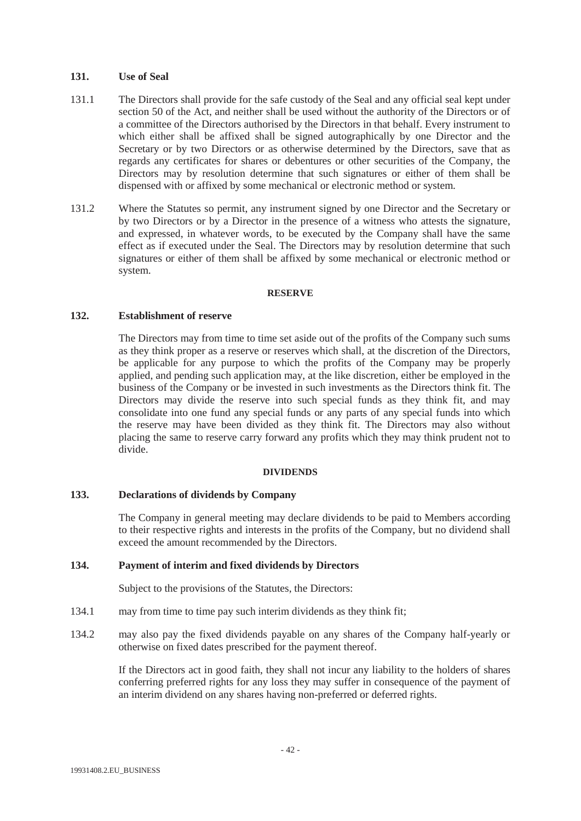# **131. Use of Seal**

- 131.1 The Directors shall provide for the safe custody of the Seal and any official seal kept under section 50 of the Act, and neither shall be used without the authority of the Directors or of a committee of the Directors authorised by the Directors in that behalf. Every instrument to which either shall be affixed shall be signed autographically by one Director and the Secretary or by two Directors or as otherwise determined by the Directors, save that as regards any certificates for shares or debentures or other securities of the Company, the Directors may by resolution determine that such signatures or either of them shall be dispensed with or affixed by some mechanical or electronic method or system.
- 131.2 Where the Statutes so permit, any instrument signed by one Director and the Secretary or by two Directors or by a Director in the presence of a witness who attests the signature, and expressed, in whatever words, to be executed by the Company shall have the same effect as if executed under the Seal. The Directors may by resolution determine that such signatures or either of them shall be affixed by some mechanical or electronic method or system.

#### **RESERVE**

## **132. Establishment of reserve**

The Directors may from time to time set aside out of the profits of the Company such sums as they think proper as a reserve or reserves which shall, at the discretion of the Directors, be applicable for any purpose to which the profits of the Company may be properly applied, and pending such application may, at the like discretion, either be employed in the business of the Company or be invested in such investments as the Directors think fit. The Directors may divide the reserve into such special funds as they think fit, and may consolidate into one fund any special funds or any parts of any special funds into which the reserve may have been divided as they think fit. The Directors may also without placing the same to reserve carry forward any profits which they may think prudent not to divide.

#### **DIVIDENDS**

# **133. Declarations of dividends by Company**

The Company in general meeting may declare dividends to be paid to Members according to their respective rights and interests in the profits of the Company, but no dividend shall exceed the amount recommended by the Directors.

# **134. Payment of interim and fixed dividends by Directors**

Subject to the provisions of the Statutes, the Directors:

- 134.1 may from time to time pay such interim dividends as they think fit;
- 134.2 may also pay the fixed dividends payable on any shares of the Company half-yearly or otherwise on fixed dates prescribed for the payment thereof.

If the Directors act in good faith, they shall not incur any liability to the holders of shares conferring preferred rights for any loss they may suffer in consequence of the payment of an interim dividend on any shares having non-preferred or deferred rights.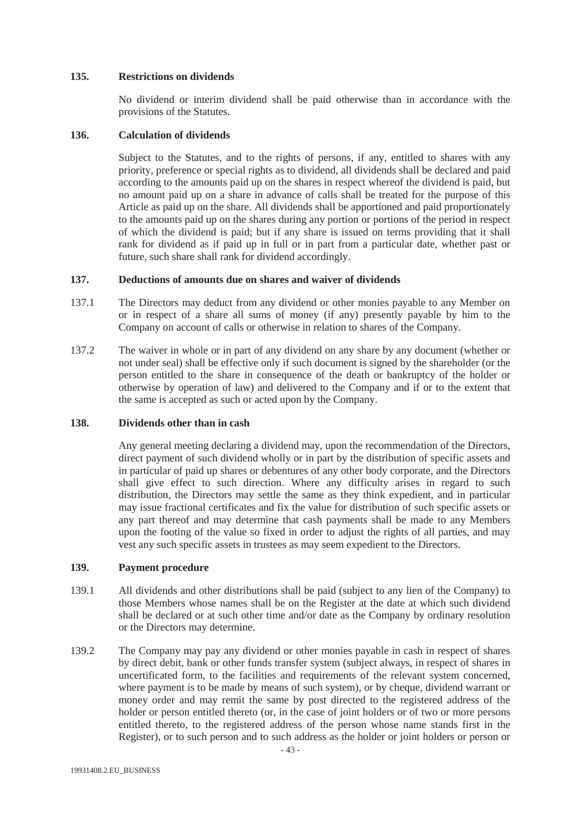## **135. Restrictions on dividends**

No dividend or interim dividend shall be paid otherwise than in accordance with the provisions of the Statutes.

## **136. Calculation of dividends**

Subject to the Statutes, and to the rights of persons, if any, entitled to shares with any priority, preference or special rights as to dividend, all dividends shall be declared and paid according to the amounts paid up on the shares in respect whereof the dividend is paid, but no amount paid up on a share in advance of calls shall be treated for the purpose of this Article as paid up on the share. All dividends shall be apportioned and paid proportionately to the amounts paid up on the shares during any portion or portions of the period in respect of which the dividend is paid; but if any share is issued on terms providing that it shall rank for dividend as if paid up in full or in part from a particular date, whether past or future, such share shall rank for dividend accordingly.

## **137. Deductions of amounts due on shares and waiver of dividends**

- 137.1 The Directors may deduct from any dividend or other monies payable to any Member on or in respect of a share all sums of money (if any) presently payable by him to the Company on account of calls or otherwise in relation to shares of the Company.
- 137.2 The waiver in whole or in part of any dividend on any share by any document (whether or not under seal) shall be effective only if such document is signed by the shareholder (or the person entitled to the share in consequence of the death or bankruptcy of the holder or otherwise by operation of law) and delivered to the Company and if or to the extent that the same is accepted as such or acted upon by the Company.

# **138. Dividends other than in cash**

Any general meeting declaring a dividend may, upon the recommendation of the Directors, direct payment of such dividend wholly or in part by the distribution of specific assets and in particular of paid up shares or debentures of any other body corporate, and the Directors shall give effect to such direction. Where any difficulty arises in regard to such distribution, the Directors may settle the same as they think expedient, and in particular may issue fractional certificates and fix the value for distribution of such specific assets or any part thereof and may determine that cash payments shall be made to any Members upon the footing of the value so fixed in order to adjust the rights of all parties, and may vest any such specific assets in trustees as may seem expedient to the Directors.

### **139. Payment procedure**

- 139.1 All dividends and other distributions shall be paid (subject to any lien of the Company) to those Members whose names shall be on the Register at the date at which such dividend shall be declared or at such other time and/or date as the Company by ordinary resolution or the Directors may determine.
- 139.2 The Company may pay any dividend or other monies payable in cash in respect of shares by direct debit, bank or other funds transfer system (subject always, in respect of shares in uncertificated form, to the facilities and requirements of the relevant system concerned, where payment is to be made by means of such system), or by cheque, dividend warrant or money order and may remit the same by post directed to the registered address of the holder or person entitled thereto (or, in the case of joint holders or of two or more persons entitled thereto, to the registered address of the person whose name stands first in the Register), or to such person and to such address as the holder or joint holders or person or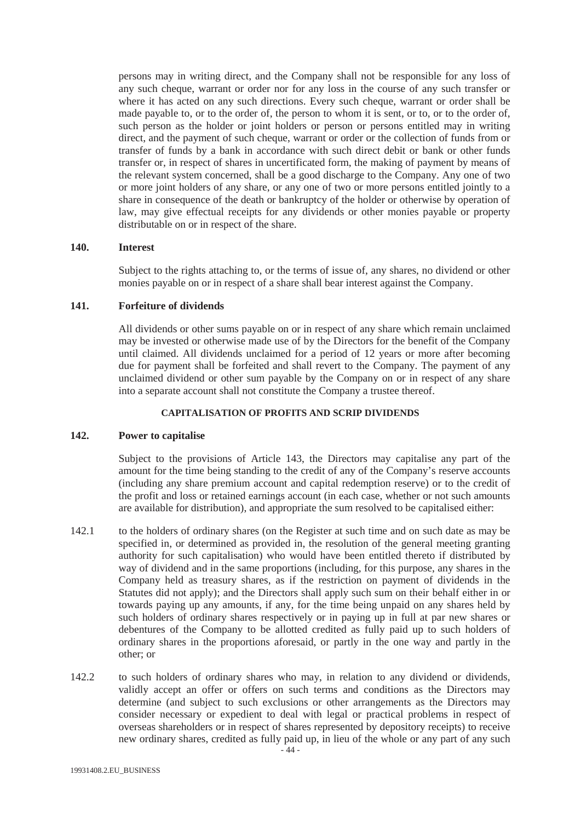persons may in writing direct, and the Company shall not be responsible for any loss of any such cheque, warrant or order nor for any loss in the course of any such transfer or where it has acted on any such directions. Every such cheque, warrant or order shall be made payable to, or to the order of, the person to whom it is sent, or to, or to the order of, such person as the holder or joint holders or persons or persons entitled may in writing direct, and the payment of such cheque, warrant or order or the collection of funds from or transfer of funds by a bank in accordance with such direct debit or bank or other funds transfer or, in respect of shares in uncertificated form, the making of payment by means of the relevant system concerned, shall be a good discharge to the Company. Any one of two or more joint holders of any share, or any one of two or more persons entitled jointly to a share in consequence of the death or bankruptcy of the holder or otherwise by operation of law, may give effectual receipts for any dividends or other monies payable or property distributable on or in respect of the share.

#### **140. Interest**

Subject to the rights attaching to, or the terms of issue of, any shares, no dividend or other monies payable on or in respect of a share shall bear interest against the Company.

## **141. Forfeiture of dividends**

All dividends or other sums payable on or in respect of any share which remain unclaimed may be invested or otherwise made use of by the Directors for the benefit of the Company until claimed. All dividends unclaimed for a period of 12 years or more after becoming due for payment shall be forfeited and shall revert to the Company. The payment of any unclaimed dividend or other sum payable by the Company on or in respect of any share into a separate account shall not constitute the Company a trustee thereof.

# **CAPITALISATION OF PROFITS AND SCRIP DIVIDENDS**

#### **142. Power to capitalise**

Subject to the provisions of Article 143, the Directors may capitalise any part of the amount for the time being standing to the credit of any of the Company's reserve accounts (including any share premium account and capital redemption reserve) or to the credit of the profit and loss or retained earnings account (in each case, whether or not such amounts are available for distribution), and appropriate the sum resolved to be capitalised either:

- 142.1 to the holders of ordinary shares (on the Register at such time and on such date as may be specified in, or determined as provided in, the resolution of the general meeting granting authority for such capitalisation) who would have been entitled thereto if distributed by way of dividend and in the same proportions (including, for this purpose, any shares in the Company held as treasury shares, as if the restriction on payment of dividends in the Statutes did not apply); and the Directors shall apply such sum on their behalf either in or towards paying up any amounts, if any, for the time being unpaid on any shares held by such holders of ordinary shares respectively or in paying up in full at par new shares or debentures of the Company to be allotted credited as fully paid up to such holders of ordinary shares in the proportions aforesaid, or partly in the one way and partly in the other; or
- 142.2 to such holders of ordinary shares who may, in relation to any dividend or dividends, validly accept an offer or offers on such terms and conditions as the Directors may determine (and subject to such exclusions or other arrangements as the Directors may consider necessary or expedient to deal with legal or practical problems in respect of overseas shareholders or in respect of shares represented by depository receipts) to receive new ordinary shares, credited as fully paid up, in lieu of the whole or any part of any such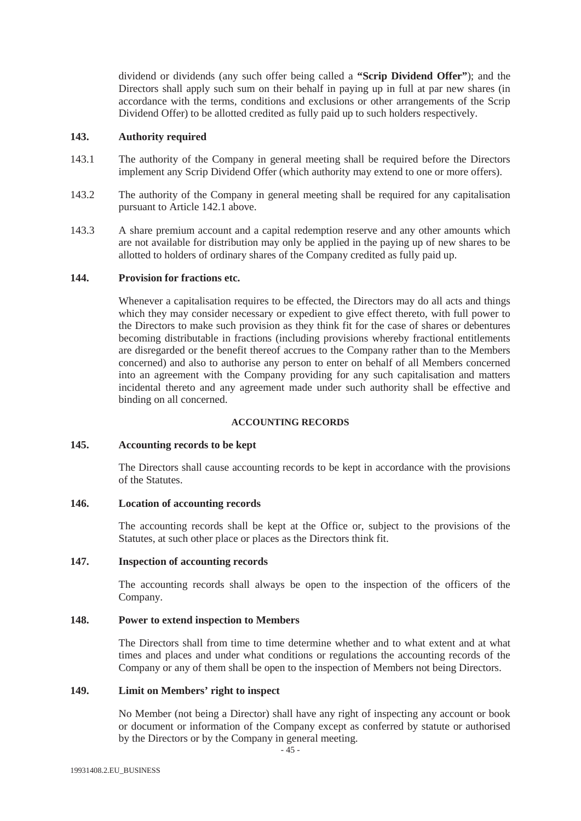dividend or dividends (any such offer being called a **"Scrip Dividend Offer"**); and the Directors shall apply such sum on their behalf in paying up in full at par new shares (in accordance with the terms, conditions and exclusions or other arrangements of the Scrip Dividend Offer) to be allotted credited as fully paid up to such holders respectively.

## **143. Authority required**

- 143.1 The authority of the Company in general meeting shall be required before the Directors implement any Scrip Dividend Offer (which authority may extend to one or more offers).
- 143.2 The authority of the Company in general meeting shall be required for any capitalisation pursuant to Article 142.1 above.
- 143.3 A share premium account and a capital redemption reserve and any other amounts which are not available for distribution may only be applied in the paying up of new shares to be allotted to holders of ordinary shares of the Company credited as fully paid up.

## **144. Provision for fractions etc.**

Whenever a capitalisation requires to be effected, the Directors may do all acts and things which they may consider necessary or expedient to give effect thereto, with full power to the Directors to make such provision as they think fit for the case of shares or debentures becoming distributable in fractions (including provisions whereby fractional entitlements are disregarded or the benefit thereof accrues to the Company rather than to the Members concerned) and also to authorise any person to enter on behalf of all Members concerned into an agreement with the Company providing for any such capitalisation and matters incidental thereto and any agreement made under such authority shall be effective and binding on all concerned.

# **ACCOUNTING RECORDS**

#### **145. Accounting records to be kept**

The Directors shall cause accounting records to be kept in accordance with the provisions of the Statutes.

#### **146. Location of accounting records**

The accounting records shall be kept at the Office or, subject to the provisions of the Statutes, at such other place or places as the Directors think fit.

## **147. Inspection of accounting records**

The accounting records shall always be open to the inspection of the officers of the Company.

#### **148. Power to extend inspection to Members**

The Directors shall from time to time determine whether and to what extent and at what times and places and under what conditions or regulations the accounting records of the Company or any of them shall be open to the inspection of Members not being Directors.

# **149. Limit on Members' right to inspect**

No Member (not being a Director) shall have any right of inspecting any account or book or document or information of the Company except as conferred by statute or authorised by the Directors or by the Company in general meeting.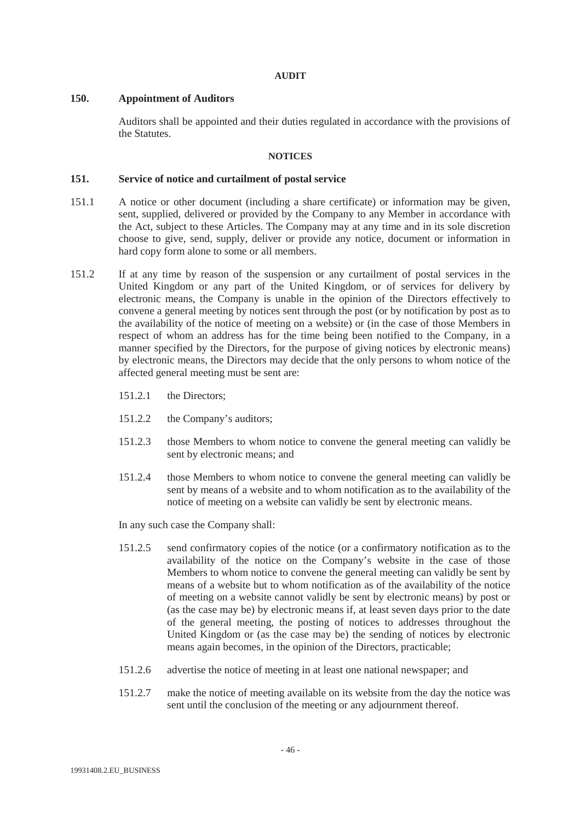#### **AUDIT**

# **150. Appointment of Auditors**

Auditors shall be appointed and their duties regulated in accordance with the provisions of the Statutes.

## **NOTICES**

## **151. Service of notice and curtailment of postal service**

- 151.1 A notice or other document (including a share certificate) or information may be given, sent, supplied, delivered or provided by the Company to any Member in accordance with the Act, subject to these Articles. The Company may at any time and in its sole discretion choose to give, send, supply, deliver or provide any notice, document or information in hard copy form alone to some or all members.
- 151.2 If at any time by reason of the suspension or any curtailment of postal services in the United Kingdom or any part of the United Kingdom, or of services for delivery by electronic means, the Company is unable in the opinion of the Directors effectively to convene a general meeting by notices sent through the post (or by notification by post as to the availability of the notice of meeting on a website) or (in the case of those Members in respect of whom an address has for the time being been notified to the Company, in a manner specified by the Directors, for the purpose of giving notices by electronic means) by electronic means, the Directors may decide that the only persons to whom notice of the affected general meeting must be sent are:
	- 151.2.1 the Directors;
	- 151.2.2 the Company's auditors;
	- 151.2.3 those Members to whom notice to convene the general meeting can validly be sent by electronic means; and
	- 151.2.4 those Members to whom notice to convene the general meeting can validly be sent by means of a website and to whom notification as to the availability of the notice of meeting on a website can validly be sent by electronic means.

In any such case the Company shall:

- 151.2.5 send confirmatory copies of the notice (or a confirmatory notification as to the availability of the notice on the Company's website in the case of those Members to whom notice to convene the general meeting can validly be sent by means of a website but to whom notification as of the availability of the notice of meeting on a website cannot validly be sent by electronic means) by post or (as the case may be) by electronic means if, at least seven days prior to the date of the general meeting, the posting of notices to addresses throughout the United Kingdom or (as the case may be) the sending of notices by electronic means again becomes, in the opinion of the Directors, practicable;
- 151.2.6 advertise the notice of meeting in at least one national newspaper; and
- 151.2.7 make the notice of meeting available on its website from the day the notice was sent until the conclusion of the meeting or any adjournment thereof.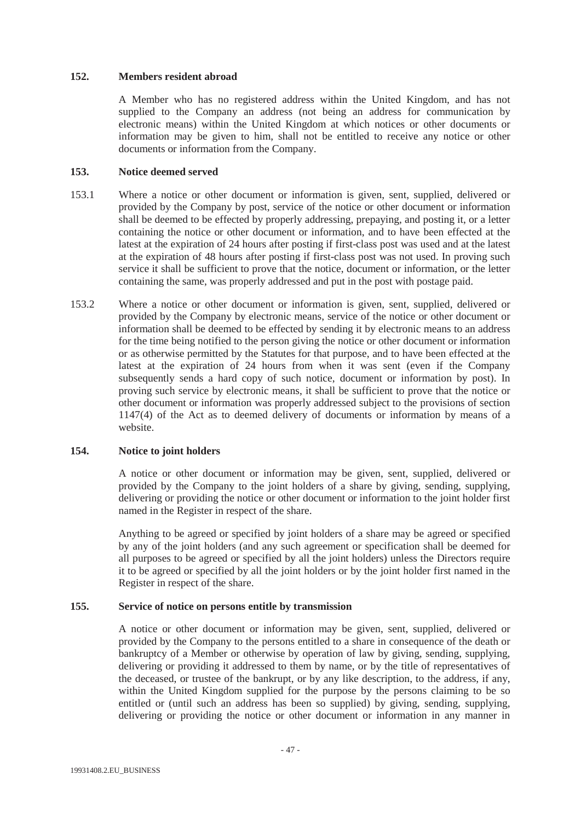## **152. Members resident abroad**

A Member who has no registered address within the United Kingdom, and has not supplied to the Company an address (not being an address for communication by electronic means) within the United Kingdom at which notices or other documents or information may be given to him, shall not be entitled to receive any notice or other documents or information from the Company.

# **153. Notice deemed served**

- 153.1 Where a notice or other document or information is given, sent, supplied, delivered or provided by the Company by post, service of the notice or other document or information shall be deemed to be effected by properly addressing, prepaying, and posting it, or a letter containing the notice or other document or information, and to have been effected at the latest at the expiration of 24 hours after posting if first-class post was used and at the latest at the expiration of 48 hours after posting if first-class post was not used. In proving such service it shall be sufficient to prove that the notice, document or information, or the letter containing the same, was properly addressed and put in the post with postage paid.
- 153.2 Where a notice or other document or information is given, sent, supplied, delivered or provided by the Company by electronic means, service of the notice or other document or information shall be deemed to be effected by sending it by electronic means to an address for the time being notified to the person giving the notice or other document or information or as otherwise permitted by the Statutes for that purpose, and to have been effected at the latest at the expiration of 24 hours from when it was sent (even if the Company subsequently sends a hard copy of such notice, document or information by post). In proving such service by electronic means, it shall be sufficient to prove that the notice or other document or information was properly addressed subject to the provisions of section 1147(4) of the Act as to deemed delivery of documents or information by means of a website.

# **154. Notice to joint holders**

A notice or other document or information may be given, sent, supplied, delivered or provided by the Company to the joint holders of a share by giving, sending, supplying, delivering or providing the notice or other document or information to the joint holder first named in the Register in respect of the share.

Anything to be agreed or specified by joint holders of a share may be agreed or specified by any of the joint holders (and any such agreement or specification shall be deemed for all purposes to be agreed or specified by all the joint holders) unless the Directors require it to be agreed or specified by all the joint holders or by the joint holder first named in the Register in respect of the share.

# **155. Service of notice on persons entitle by transmission**

A notice or other document or information may be given, sent, supplied, delivered or provided by the Company to the persons entitled to a share in consequence of the death or bankruptcy of a Member or otherwise by operation of law by giving, sending, supplying, delivering or providing it addressed to them by name, or by the title of representatives of the deceased, or trustee of the bankrupt, or by any like description, to the address, if any, within the United Kingdom supplied for the purpose by the persons claiming to be so entitled or (until such an address has been so supplied) by giving, sending, supplying, delivering or providing the notice or other document or information in any manner in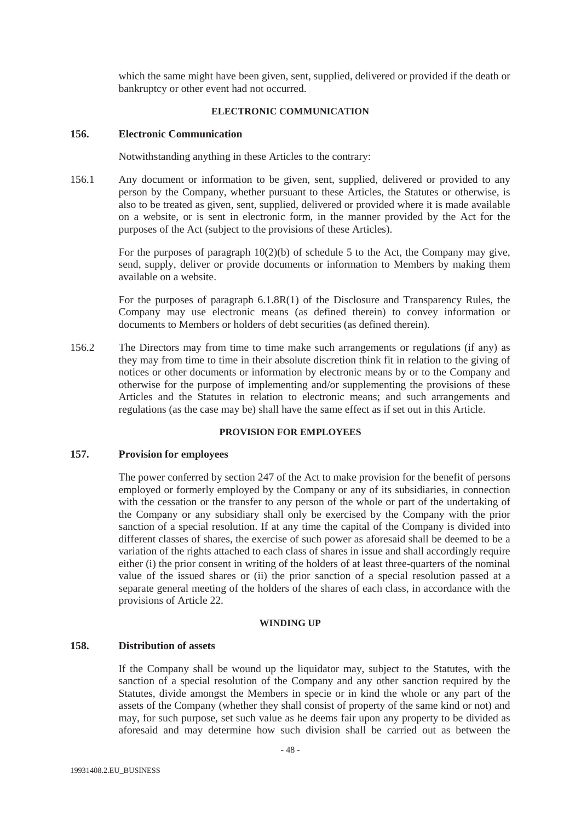which the same might have been given, sent, supplied, delivered or provided if the death or bankruptcy or other event had not occurred.

## **ELECTRONIC COMMUNICATION**

# **156. Electronic Communication**

Notwithstanding anything in these Articles to the contrary:

156.1 Any document or information to be given, sent, supplied, delivered or provided to any person by the Company, whether pursuant to these Articles, the Statutes or otherwise, is also to be treated as given, sent, supplied, delivered or provided where it is made available on a website, or is sent in electronic form, in the manner provided by the Act for the purposes of the Act (subject to the provisions of these Articles).

> For the purposes of paragraph 10(2)(b) of schedule 5 to the Act, the Company may give, send, supply, deliver or provide documents or information to Members by making them available on a website.

> For the purposes of paragraph 6.1.8R(1) of the Disclosure and Transparency Rules, the Company may use electronic means (as defined therein) to convey information or documents to Members or holders of debt securities (as defined therein).

156.2 The Directors may from time to time make such arrangements or regulations (if any) as they may from time to time in their absolute discretion think fit in relation to the giving of notices or other documents or information by electronic means by or to the Company and otherwise for the purpose of implementing and/or supplementing the provisions of these Articles and the Statutes in relation to electronic means; and such arrangements and regulations (as the case may be) shall have the same effect as if set out in this Article.

# **PROVISION FOR EMPLOYEES**

## **157. Provision for employees**

The power conferred by section 247 of the Act to make provision for the benefit of persons employed or formerly employed by the Company or any of its subsidiaries, in connection with the cessation or the transfer to any person of the whole or part of the undertaking of the Company or any subsidiary shall only be exercised by the Company with the prior sanction of a special resolution. If at any time the capital of the Company is divided into different classes of shares, the exercise of such power as aforesaid shall be deemed to be a variation of the rights attached to each class of shares in issue and shall accordingly require either (i) the prior consent in writing of the holders of at least three-quarters of the nominal value of the issued shares or (ii) the prior sanction of a special resolution passed at a separate general meeting of the holders of the shares of each class, in accordance with the provisions of Article 22.

#### **WINDING UP**

- 48 -

#### **158. Distribution of assets**

If the Company shall be wound up the liquidator may, subject to the Statutes, with the sanction of a special resolution of the Company and any other sanction required by the Statutes, divide amongst the Members in specie or in kind the whole or any part of the assets of the Company (whether they shall consist of property of the same kind or not) and may, for such purpose, set such value as he deems fair upon any property to be divided as aforesaid and may determine how such division shall be carried out as between the